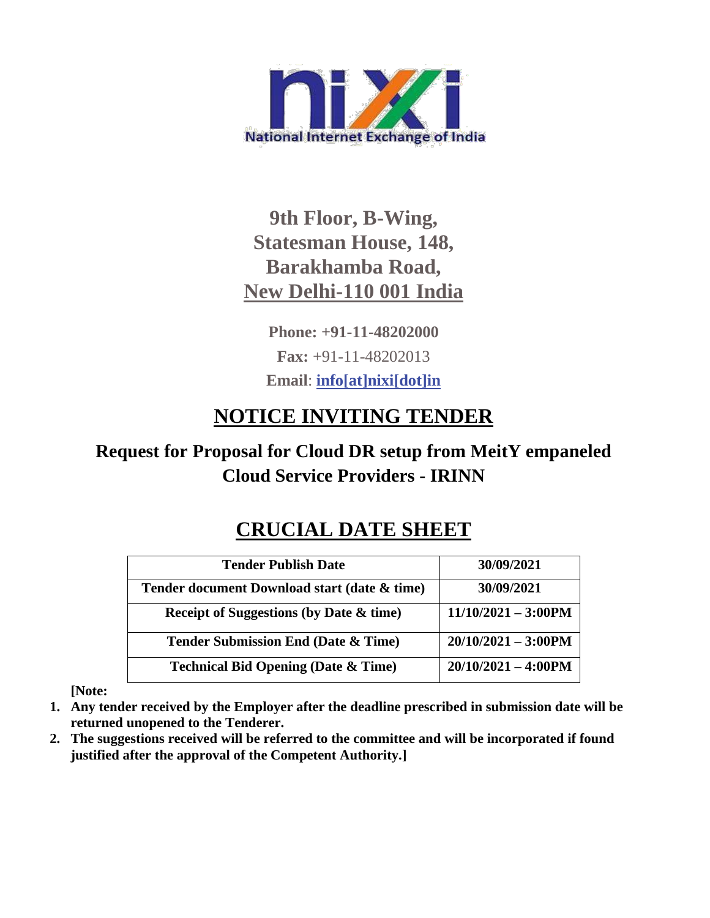

# **9th Floor, B-Wing, Statesman House, 148, Barakhamba Road, New Delhi-110 001 India**

**Phone: +91-11-48202000 Fax:** +91-11-48202013 **Email**: **[info\[at\]nixi\[dot\]in](mailto:info[at]nixi[dot]in)**

# **NOTICE INVITING TENDER**

# **Request for Proposal for Cloud DR setup from MeitY empaneled Cloud Service Providers - IRINN**

# **CRUCIAL DATE SHEET**

| <b>Tender Publish Date</b>                         | 30/09/2021                    |
|----------------------------------------------------|-------------------------------|
| Tender document Download start (date & time)       | 30/09/2021                    |
| <b>Receipt of Suggestions (by Date &amp; time)</b> | $11/10/2021 - 3:00 \text{PM}$ |
| <b>Tender Submission End (Date &amp; Time)</b>     | $20/10/2021 - 3:00$ PM        |
| <b>Technical Bid Opening (Date &amp; Time)</b>     | $20/10/2021 - 4:00 \text{PM}$ |

**[Note:**

- **1. Any tender received by the Employer after the deadline prescribed in submission date will be returned unopened to the Tenderer.**
- **2. The suggestions received will be referred to the committee and will be incorporated if found justified after the approval of the Competent Authority.]**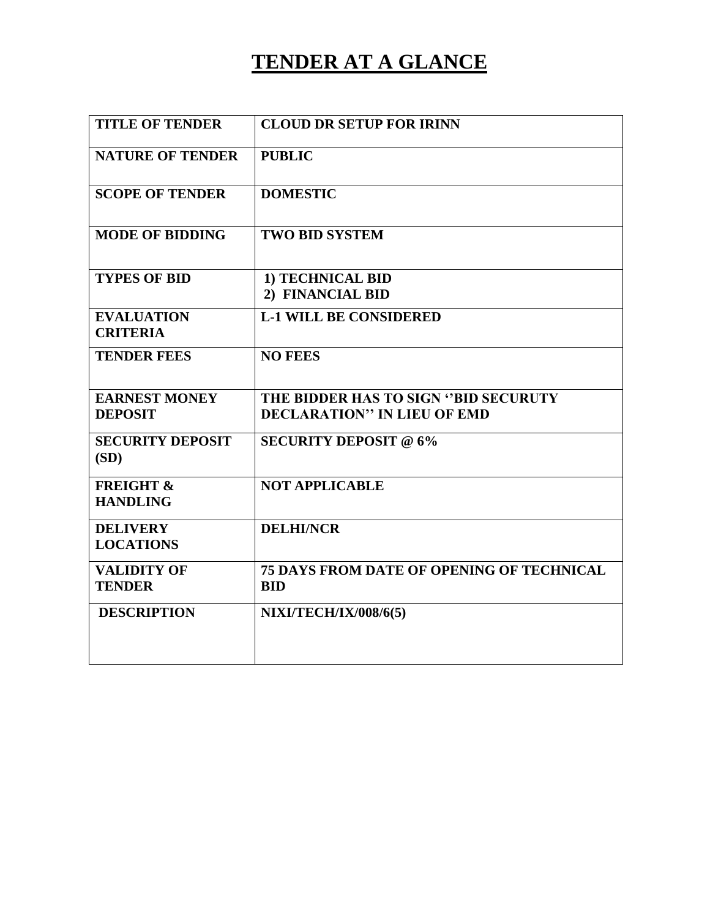# **TENDER AT A GLANCE**

| <b>TITLE OF TENDER</b>                  | <b>CLOUD DR SETUP FOR IRINN</b>                                |
|-----------------------------------------|----------------------------------------------------------------|
| <b>NATURE OF TENDER</b>                 | <b>PUBLIC</b>                                                  |
| <b>SCOPE OF TENDER</b>                  | <b>DOMESTIC</b>                                                |
| <b>MODE OF BIDDING</b>                  | <b>TWO BID SYSTEM</b>                                          |
| <b>TYPES OF BID</b>                     | 1) TECHNICAL BID<br>2) FINANCIAL BID                           |
| <b>EVALUATION</b><br><b>CRITERIA</b>    | <b>L-1 WILL BE CONSIDERED</b>                                  |
| <b>TENDER FEES</b>                      | <b>NO FEES</b>                                                 |
| <b>EARNEST MONEY</b>                    | THE BIDDER HAS TO SIGN "BID SECURUTY                           |
| <b>DEPOSIT</b>                          | <b>DECLARATION" IN LIEU OF EMD</b>                             |
| <b>SECURITY DEPOSIT</b><br>(SD)         | <b>SECURITY DEPOSIT @ 6%</b>                                   |
| <b>FREIGHT &amp;</b><br><b>HANDLING</b> | <b>NOT APPLICABLE</b>                                          |
| <b>DELIVERY</b><br><b>LOCATIONS</b>     | <b>DELHI/NCR</b>                                               |
| <b>VALIDITY OF</b><br><b>TENDER</b>     | <b>75 DAYS FROM DATE OF OPENING OF TECHNICAL</b><br><b>BID</b> |
| <b>DESCRIPTION</b>                      | <b>NIXI/TECH/IX/008/6(5)</b>                                   |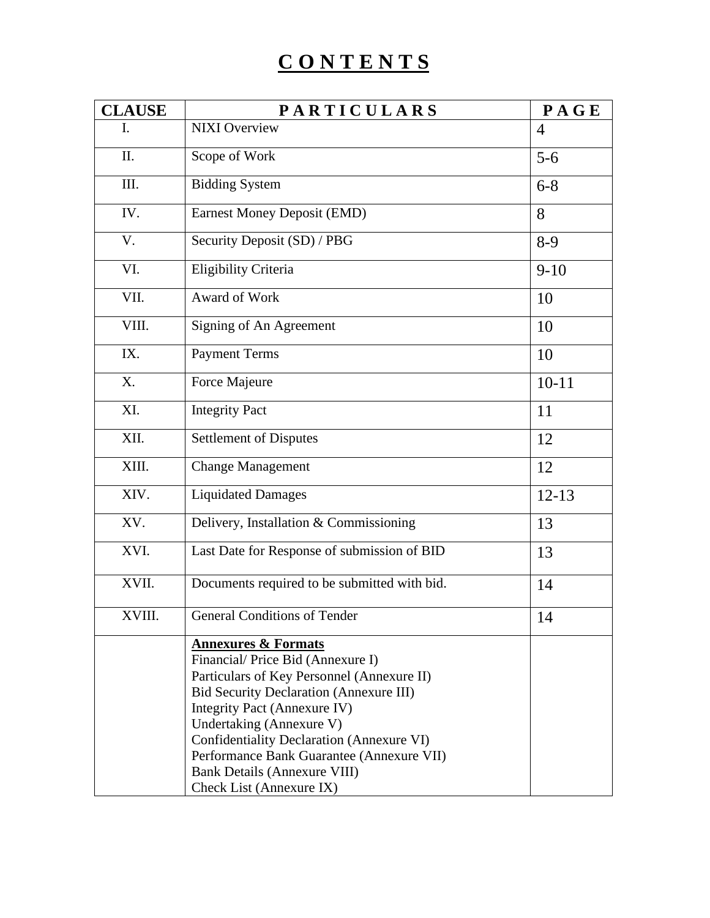# **C O N T E N T S**

| <b>CLAUSE</b> | <b>PARTICULARS</b>                                                                                                                                                                                                                                                                                                                                                                          | PAGE           |
|---------------|---------------------------------------------------------------------------------------------------------------------------------------------------------------------------------------------------------------------------------------------------------------------------------------------------------------------------------------------------------------------------------------------|----------------|
| I.            | <b>NIXI Overview</b>                                                                                                                                                                                                                                                                                                                                                                        | $\overline{4}$ |
| II.           | Scope of Work                                                                                                                                                                                                                                                                                                                                                                               | $5-6$          |
| III.          | <b>Bidding System</b>                                                                                                                                                                                                                                                                                                                                                                       | $6 - 8$        |
| IV.           | Earnest Money Deposit (EMD)                                                                                                                                                                                                                                                                                                                                                                 | 8              |
| V.            | Security Deposit (SD) / PBG                                                                                                                                                                                                                                                                                                                                                                 | $8-9$          |
| VI.           | Eligibility Criteria                                                                                                                                                                                                                                                                                                                                                                        | $9-10$         |
| VII.          | Award of Work                                                                                                                                                                                                                                                                                                                                                                               | 10             |
| VIII.         | Signing of An Agreement                                                                                                                                                                                                                                                                                                                                                                     | 10             |
| IX.           | <b>Payment Terms</b>                                                                                                                                                                                                                                                                                                                                                                        | 10             |
| X.            | Force Majeure                                                                                                                                                                                                                                                                                                                                                                               | $10 - 11$      |
| XI.           | <b>Integrity Pact</b>                                                                                                                                                                                                                                                                                                                                                                       | 11             |
| XII.          | <b>Settlement of Disputes</b>                                                                                                                                                                                                                                                                                                                                                               | 12             |
| XIII.         | <b>Change Management</b>                                                                                                                                                                                                                                                                                                                                                                    | 12             |
| XIV.          | <b>Liquidated Damages</b>                                                                                                                                                                                                                                                                                                                                                                   | $12 - 13$      |
| XV.           | Delivery, Installation & Commissioning                                                                                                                                                                                                                                                                                                                                                      | 13             |
| XVI.          | Last Date for Response of submission of BID                                                                                                                                                                                                                                                                                                                                                 | 13             |
| XVII.         | Documents required to be submitted with bid.                                                                                                                                                                                                                                                                                                                                                | 14             |
| XVIII.        | <b>General Conditions of Tender</b>                                                                                                                                                                                                                                                                                                                                                         | 14             |
|               | <b>Annexures &amp; Formats</b><br>Financial/Price Bid (Annexure I)<br>Particulars of Key Personnel (Annexure II)<br><b>Bid Security Declaration (Annexure III)</b><br>Integrity Pact (Annexure IV)<br>Undertaking (Annexure V)<br>Confidentiality Declaration (Annexure VI)<br>Performance Bank Guarantee (Annexure VII)<br><b>Bank Details (Annexure VIII)</b><br>Check List (Annexure IX) |                |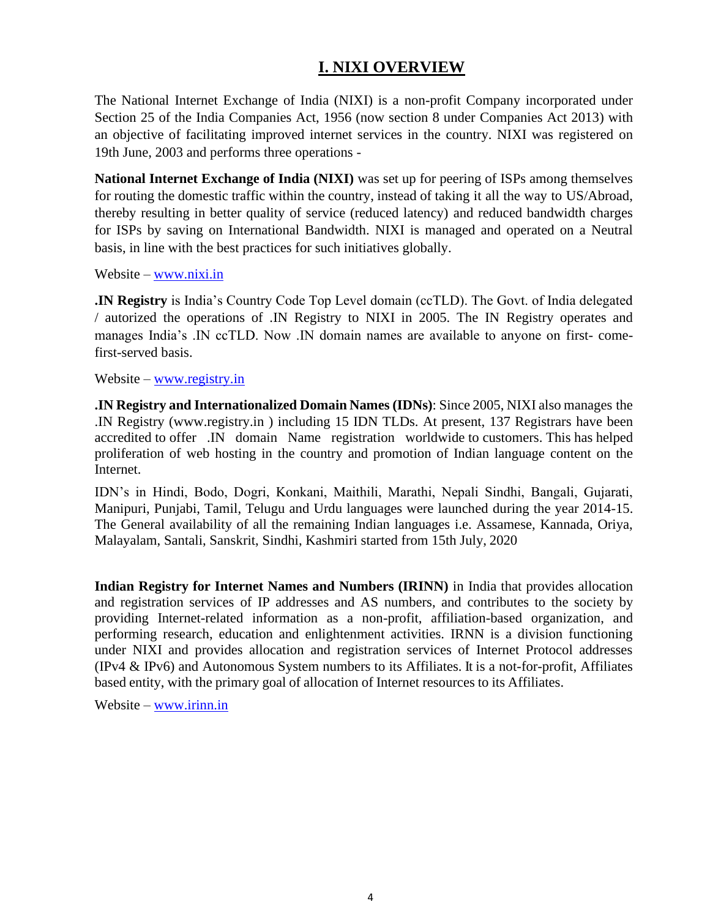### **I. NIXI OVERVIEW**

The National Internet Exchange of India (NIXI) is a [non-profit C](https://en.wikipedia.org/wiki/Non-profit)ompany incorporated under Section 25 of the India Companies Act, 1956 (now section 8 under [Companies Act 2013\)](https://en.wikipedia.org/wiki/Companies_Act_2013) with an objective of facilitating improved internet services in the country. NIXI was registered on 19th June, 2003 and performs three operations -

**National Internet Exchange of India (NIXI)** was set up for peering of ISPs among themselves for routing the domestic traffic within the country, instead of taking it all the way to US/Abroad, thereby resulting in better quality of service (reduced latency) and reduced bandwidth charges for ISPs by saving on International Bandwidth. NIXI is managed and operated on a Neutral basis, in line with the best practices for such initiatives globally.

Website – [www.nixi.in](http://www.nixi.in/)

**.IN Registry** is India's Country Code Top Level domain (ccTLD). The Govt. of India delegated / autorized the operations of .IN Registry to NIXI in 2005. The IN Registry operates and manages India's .IN ccTLD. Now .IN domain names are available to anyone on first- comefirst-served basis.

Website – [www.registry.in](http://www.registry.in/)

**.IN Registry and Internationalized Domain Names (IDNs)**: Since 2005, NIXI also manages the .IN Registry [\(www.registry.in \)](http://www.registry.in/) including 15 IDN TLDs. At present, 137 Registrars have been accredited to offer .IN domain Name registration worldwide to customers. This has helped proliferation of web hosting in the country and promotion of Indian language content on the Internet.

IDN's in Hindi, Bodo, Dogri, Konkani, Maithili, Marathi, Nepali Sindhi, Bangali, Gujarati, Manipuri, Punjabi, Tamil, Telugu and Urdu languages were launched during the year 2014-15. The General availability of all the remaining Indian languages i.e. Assamese, Kannada, Oriya, Malayalam, Santali, Sanskrit, Sindhi, Kashmiri started from 15th July, 2020

**Indian Registry for Internet Names and Numbers (IRINN)** in India that provides allocation and registration services of IP addresses and AS numbers, and contributes to the society by providing Internet-related information as a non-profit, affiliation-based organization, and performing research, education and enlightenment activities. IRNN is a division functioning under NIXI and provides allocation and registration services of Internet Protocol addresses (IPv4 & IPv6) and Autonomous System numbers to its Affiliates. It is a not-for-profit, Affiliates based entity, with the primary goal of allocation of Internet resources to its Affiliates.

Website – [www.irinn.in](http://www.irinn.in/)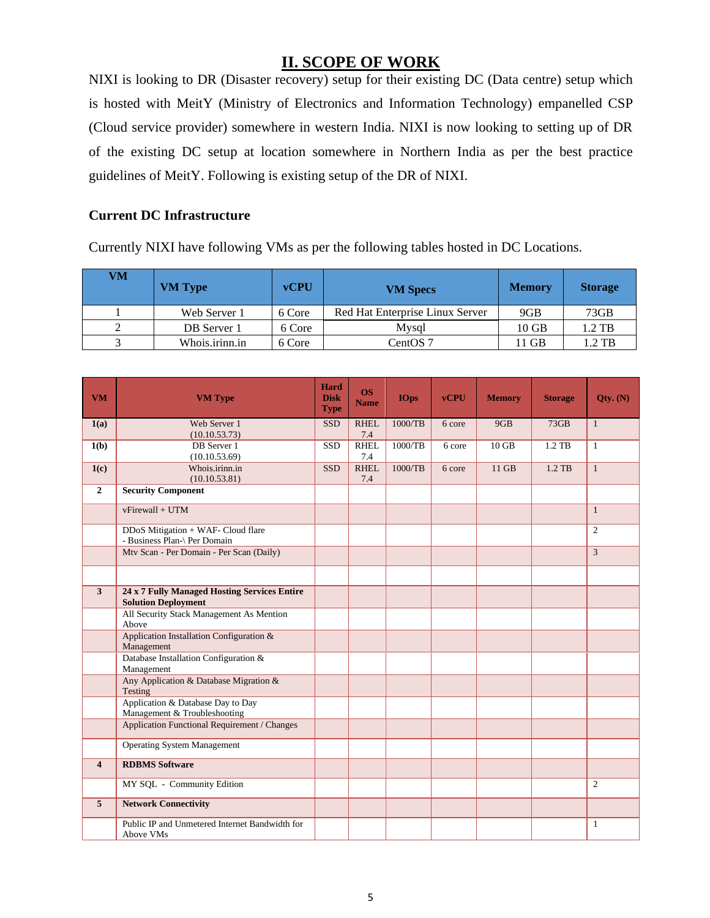### **II. SCOPE OF WORK**

NIXI is looking to DR (Disaster recovery) setup for their existing DC (Data centre) setup which is hosted with MeitY (Ministry of Electronics and Information Technology) empanelled CSP (Cloud service provider) somewhere in western India. NIXI is now looking to setting up of DR of the existing DC setup at location somewhere in Northern India as per the best practice guidelines of MeitY. Following is existing setup of the DR of NIXI.

#### **Current DC Infrastructure**

Currently NIXI have following VMs as per the following tables hosted in DC Locations.

| VM | <b>VM Type</b> | <b>vCPU</b> | <b>VM</b> Specs                 | <b>Memory</b> | <b>Storage</b> |
|----|----------------|-------------|---------------------------------|---------------|----------------|
|    | Web Server 1   | 6 Core      | Red Hat Enterprise Linux Server | 9GB           | 73GB           |
|    | DB Server 1    | 6 Core      | Mysql                           | $10$ GB       | 1.2 TB         |
|    | Whois.irinn.in | 6 Core      | CentOS 7                        | 11 GB         | $1.2$ TB       |

| <b>VM</b>               | <b>VM Type</b>                                                             | Hard<br><b>Disk</b><br><b>Type</b> | <b>OS</b><br><b>Name</b> | <b>IOps</b> | <b>vCPU</b> | <b>Memory</b> | <b>Storage</b> | Otv. $(N)$     |
|-------------------------|----------------------------------------------------------------------------|------------------------------------|--------------------------|-------------|-------------|---------------|----------------|----------------|
| 1(a)                    | Web Server 1<br>(10.10.53.73)                                              | <b>SSD</b>                         | <b>RHEL</b><br>7.4       | 1000/TB     | 6 core      | 9GB           | 73GB           | $\mathbf{1}$   |
| 1(b)                    | DB Server 1<br>(10.10.53.69)                                               | <b>SSD</b>                         | <b>RHEL</b><br>7.4       | 1000/TB     | 6 core      | $10$ GB       | 1.2 TB         | $\mathbf{1}$   |
| 1(c)                    | Whois.irinn.in<br>(10.10.53.81)                                            | <b>SSD</b>                         | <b>RHEL</b><br>7.4       | 1000/TB     | 6 core      | 11 GB         | 1.2 TB         | $\mathbf{1}$   |
| $\overline{2}$          | <b>Security Component</b>                                                  |                                    |                          |             |             |               |                |                |
|                         | vFirewall + UTM                                                            |                                    |                          |             |             |               |                | $\mathbf{1}$   |
|                         | DDoS Mitigation + WAF- Cloud flare<br>- Business Plan-\ Per Domain         |                                    |                          |             |             |               |                | $\overline{2}$ |
|                         | Mtv Scan - Per Domain - Per Scan (Daily)                                   |                                    |                          |             |             |               |                | $\overline{3}$ |
|                         |                                                                            |                                    |                          |             |             |               |                |                |
| $\overline{\mathbf{3}}$ | 24 x 7 Fully Managed Hosting Services Entire<br><b>Solution Deployment</b> |                                    |                          |             |             |               |                |                |
|                         | All Security Stack Management As Mention<br>Above                          |                                    |                          |             |             |               |                |                |
|                         | Application Installation Configuration &<br>Management                     |                                    |                          |             |             |               |                |                |
|                         | Database Installation Configuration &<br>Management                        |                                    |                          |             |             |               |                |                |
|                         | Any Application & Database Migration &<br>Testing                          |                                    |                          |             |             |               |                |                |
|                         | Application & Database Day to Day<br>Management & Troubleshooting          |                                    |                          |             |             |               |                |                |
|                         | <b>Application Functional Requirement / Changes</b>                        |                                    |                          |             |             |               |                |                |
|                         | <b>Operating System Management</b>                                         |                                    |                          |             |             |               |                |                |
| $\overline{\mathbf{4}}$ | <b>RDBMS</b> Software                                                      |                                    |                          |             |             |               |                |                |
|                         | MY SQL - Community Edition                                                 |                                    |                          |             |             |               |                | $\overline{2}$ |
| $\overline{5}$          | <b>Network Connectivity</b>                                                |                                    |                          |             |             |               |                |                |
|                         | Public IP and Unmetered Internet Bandwidth for<br>Above VMs                |                                    |                          |             |             |               |                | $\mathbf{1}$   |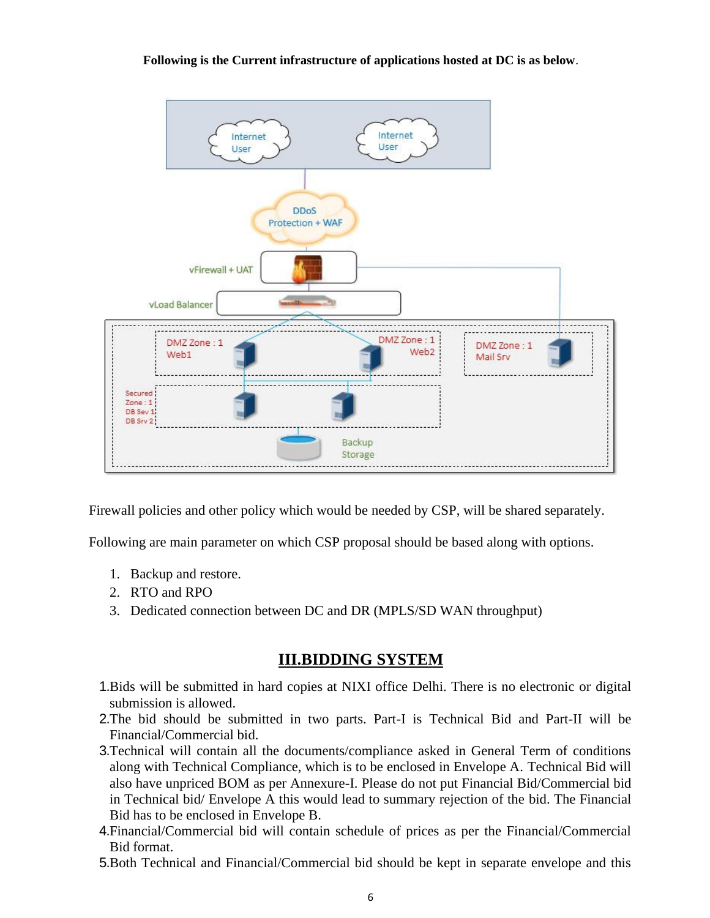**Following is the Current infrastructure of applications hosted at DC is as below**.



Firewall policies and other policy which would be needed by CSP, will be shared separately.

Following are main parameter on which CSP proposal should be based along with options.

- 1. Backup and restore.
- 2. RTO and RPO
- 3. Dedicated connection between DC and DR (MPLS/SD WAN throughput)

#### **III.BIDDING SYSTEM**

- 1.Bids will be submitted in hard copies at NIXI office Delhi. There is no electronic or digital submission is allowed.
- 2.The bid should be submitted in two parts. Part-I is Technical Bid and Part-II will be Financial/Commercial bid.
- 3.Technical will contain all the documents/compliance asked in General Term of conditions along with Technical Compliance, which is to be enclosed in Envelope A. Technical Bid will also have unpriced BOM as per Annexure-I. Please do not put Financial Bid/Commercial bid in Technical bid/ Envelope A this would lead to summary rejection of the bid. The Financial Bid has to be enclosed in Envelope B.
- 4.Financial/Commercial bid will contain schedule of prices as per the Financial/Commercial Bid format.
- 5.Both Technical and Financial/Commercial bid should be kept in separate envelope and this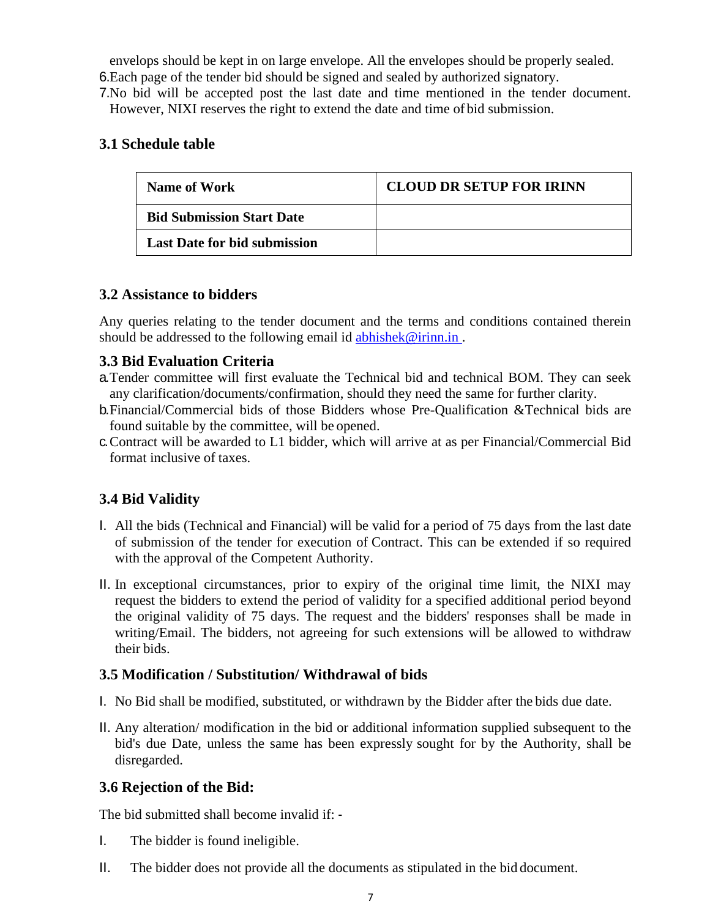envelops should be kept in on large envelope. All the envelopes should be properly sealed. 6.Each page of the tender bid should be signed and sealed by authorized signatory.

7.No bid will be accepted post the last date and time mentioned in the tender document. However, NIXI reserves the right to extend the date and time of bid submission.

#### **3.1 Schedule table**

| <b>Name of Work</b>                 | <b>CLOUD DR SETUP FOR IRINN</b> |
|-------------------------------------|---------------------------------|
| <b>Bid Submission Start Date</b>    |                                 |
| <b>Last Date for bid submission</b> |                                 |

#### **3.2 Assistance to bidders**

Any queries relating to the tender document and the terms and conditions contained therein should be addressed to the following email id abhishek@irinn.in.

#### **3.3 Bid Evaluation Criteria**

- a.Tender committee will first evaluate the Technical bid and technical BOM. They can seek any clarification/documents/confirmation, should they need the same for further clarity.
- b.Financial/Commercial bids of those Bidders whose Pre-Qualification &Technical bids are found suitable by the committee, will be opened.
- c.Contract will be awarded to L1 bidder, which will arrive at as per Financial/Commercial Bid format inclusive of taxes.

### **3.4 Bid Validity**

- I. All the bids (Technical and Financial) will be valid for a period of 75 days from the last date of submission of the tender for execution of Contract. This can be extended if so required with the approval of the Competent Authority.
- II. In exceptional circumstances, prior to expiry of the original time limit, the NIXI may request the bidders to extend the period of validity for a specified additional period beyond the original validity of 75 days. The request and the bidders' responses shall be made in writing/Email. The bidders, not agreeing for such extensions will be allowed to withdraw their bids.

#### **3.5 Modification / Substitution/ Withdrawal of bids**

- I. No Bid shall be modified, substituted, or withdrawn by the Bidder after the bids due date.
- II. Any alteration/ modification in the bid or additional information supplied subsequent to the bid's due Date, unless the same has been expressly sought for by the Authority, shall be disregarded.

#### **3.6 Rejection of the Bid:**

The bid submitted shall become invalid if: ‐

- I. The bidder is found ineligible.
- II. The bidder does not provide all the documents as stipulated in the bid document.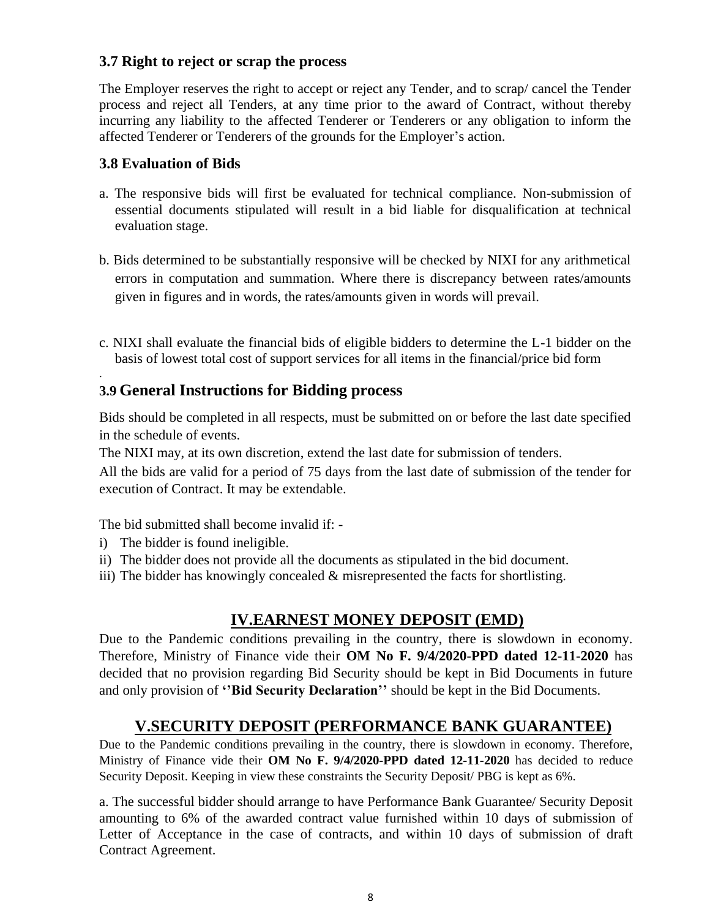#### **3.7 Right to reject or scrap the process**

The Employer reserves the right to accept or reject any Tender, and to scrap/ cancel the Tender process and reject all Tenders, at any time prior to the award of Contract, without thereby incurring any liability to the affected Tenderer or Tenderers or any obligation to inform the affected Tenderer or Tenderers of the grounds for the Employer's action.

#### **3.8 Evaluation of Bids**

.

- a. The responsive bids will first be evaluated for technical compliance. Non-submission of essential documents stipulated will result in a bid liable for disqualification at technical evaluation stage.
- b. Bids determined to be substantially responsive will be checked by NIXI for any arithmetical errors in computation and summation. Where there is discrepancy between rates/amounts given in figures and in words, the rates/amounts given in words will prevail.
- c. NIXI shall evaluate the financial bids of eligible bidders to determine the L-1 bidder on the basis of lowest total cost of support services for all items in the financial/price bid form

### **3.9 General Instructions for Bidding process**

Bids should be completed in all respects, must be submitted on or before the last date specified in the schedule of events.

The NIXI may, at its own discretion, extend the last date for submission of tenders.

All the bids are valid for a period of 75 days from the last date of submission of the tender for execution of Contract. It may be extendable.

The bid submitted shall become invalid if: -

- i) The bidder is found ineligible.
- ii) The bidder does not provide all the documents as stipulated in the bid document.
- iii) The bidder has knowingly concealed & misrepresented the facts for shortlisting.

### **IV.EARNEST MONEY DEPOSIT (EMD)**

Due to the Pandemic conditions prevailing in the country, there is slowdown in economy. Therefore, Ministry of Finance vide their **OM No F. 9/4/2020-PPD dated 12-11-2020** has decided that no provision regarding Bid Security should be kept in Bid Documents in future and only provision of **''Bid Security Declaration''** should be kept in the Bid Documents.

#### **V.SECURITY DEPOSIT (PERFORMANCE BANK GUARANTEE)**

Due to the Pandemic conditions prevailing in the country, there is slowdown in economy. Therefore, Ministry of Finance vide their **OM No F. 9/4/2020-PPD dated 12-11-2020** has decided to reduce Security Deposit. Keeping in view these constraints the Security Deposit/ PBG is kept as 6%.

a. The successful bidder should arrange to have Performance Bank Guarantee/ Security Deposit amounting to 6% of the awarded contract value furnished within 10 days of submission of Letter of Acceptance in the case of contracts, and within 10 days of submission of draft Contract Agreement.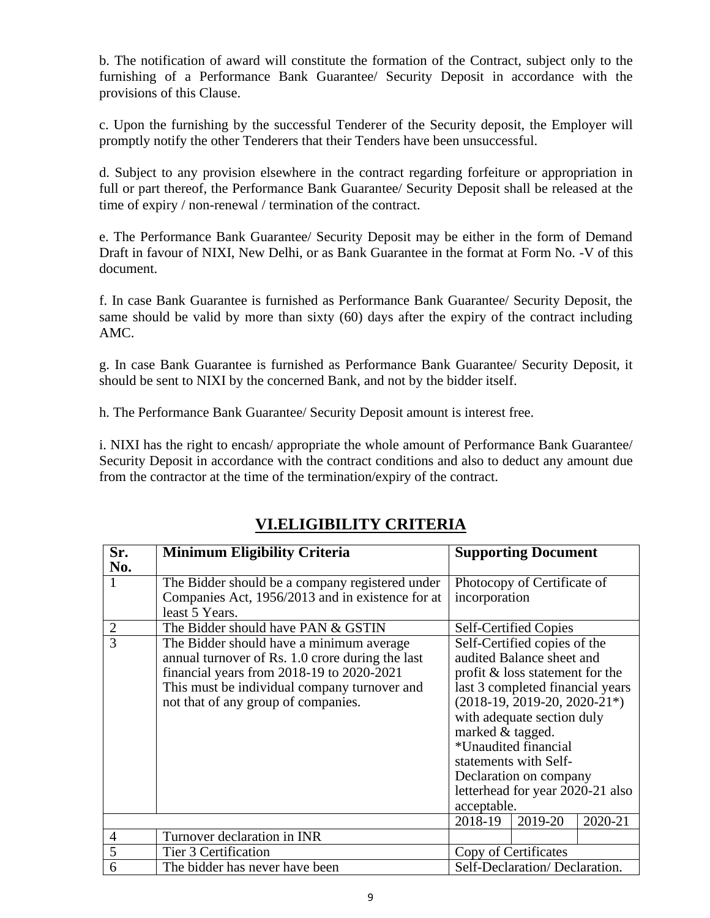b. The notification of award will constitute the formation of the Contract, subject only to the furnishing of a Performance Bank Guarantee/ Security Deposit in accordance with the provisions of this Clause.

c. Upon the furnishing by the successful Tenderer of the Security deposit, the Employer will promptly notify the other Tenderers that their Tenders have been unsuccessful.

d. Subject to any provision elsewhere in the contract regarding forfeiture or appropriation in full or part thereof, the Performance Bank Guarantee/ Security Deposit shall be released at the time of expiry / non-renewal / termination of the contract.

e. The Performance Bank Guarantee/ Security Deposit may be either in the form of Demand Draft in favour of NIXI, New Delhi, or as Bank Guarantee in the format at Form No. -V of this document.

f. In case Bank Guarantee is furnished as Performance Bank Guarantee/ Security Deposit, the same should be valid by more than sixty (60) days after the expiry of the contract including AMC.

g. In case Bank Guarantee is furnished as Performance Bank Guarantee/ Security Deposit, it should be sent to NIXI by the concerned Bank, and not by the bidder itself.

h. The Performance Bank Guarantee/ Security Deposit amount is interest free.

i. NIXI has the right to encash/ appropriate the whole amount of Performance Bank Guarantee/ Security Deposit in accordance with the contract conditions and also to deduct any amount due from the contractor at the time of the termination/expiry of the contract.

| Sr.            | <b>Minimum Eligibility Criteria</b>              | <b>Supporting Document</b>       |  |  |
|----------------|--------------------------------------------------|----------------------------------|--|--|
| No.            |                                                  |                                  |  |  |
| 1              | The Bidder should be a company registered under  | Photocopy of Certificate of      |  |  |
|                | Companies Act, 1956/2013 and in existence for at | incorporation                    |  |  |
|                | least 5 Years.                                   |                                  |  |  |
| $\overline{2}$ | The Bidder should have PAN & GSTIN               | <b>Self-Certified Copies</b>     |  |  |
| $\overline{3}$ | The Bidder should have a minimum average         | Self-Certified copies of the     |  |  |
|                | annual turnover of Rs. 1.0 crore during the last | audited Balance sheet and        |  |  |
|                | financial years from 2018-19 to 2020-2021        | profit & loss statement for the  |  |  |
|                | This must be individual company turnover and     | last 3 completed financial years |  |  |
|                | not that of any group of companies.              | $(2018-19, 2019-20, 2020-21*)$   |  |  |
|                |                                                  | with adequate section duly       |  |  |
|                |                                                  | marked & tagged.                 |  |  |
|                |                                                  | *Unaudited financial             |  |  |
|                |                                                  | statements with Self-            |  |  |
|                |                                                  | Declaration on company           |  |  |
|                |                                                  | letterhead for year 2020-21 also |  |  |
|                |                                                  | acceptable.                      |  |  |
|                |                                                  | 2018-19<br>2019-20<br>2020-21    |  |  |
| $\overline{4}$ | Turnover declaration in INR                      |                                  |  |  |
| 5              | Tier 3 Certification                             | Copy of Certificates             |  |  |
| 6              | The bidder has never have been                   | Self-Declaration/Declaration.    |  |  |

### **VI.ELIGIBILITY CRITERIA**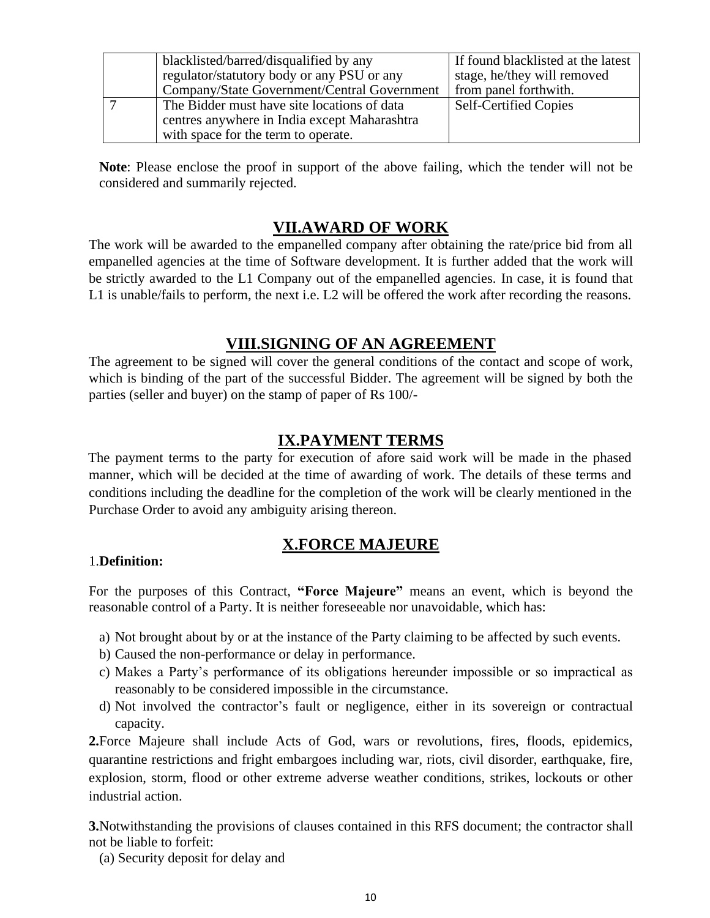| blacklisted/barred/disqualified by any       | If found blacklisted at the latest |
|----------------------------------------------|------------------------------------|
| regulator/statutory body or any PSU or any   | stage, he/they will removed        |
| Company/State Government/Central Government  | from panel forthwith.              |
| The Bidder must have site locations of data  | <b>Self-Certified Copies</b>       |
| centres anywhere in India except Maharashtra |                                    |
| with space for the term to operate.          |                                    |

**Note**: Please enclose the proof in support of the above failing, which the tender will not be considered and summarily rejected.

### **VII.AWARD OF WORK**

The work will be awarded to the empanelled company after obtaining the rate/price bid from all empanelled agencies at the time of Software development. It is further added that the work will be strictly awarded to the L1 Company out of the empanelled agencies. In case, it is found that L1 is unable/fails to perform, the next i.e. L2 will be offered the work after recording the reasons.

### **VIII.SIGNING OF AN AGREEMENT**

The agreement to be signed will cover the general conditions of the contact and scope of work, which is binding of the part of the successful Bidder. The agreement will be signed by both the parties (seller and buyer) on the stamp of paper of Rs 100/-

### **IX.PAYMENT TERMS**

The payment terms to the party for execution of afore said work will be made in the phased manner, which will be decided at the time of awarding of work. The details of these terms and conditions including the deadline for the completion of the work will be clearly mentioned in the Purchase Order to avoid any ambiguity arising thereon.

### **X.FORCE MAJEURE**

#### 1.**Definition:**

For the purposes of this Contract, **"Force Majeure"** means an event, which is beyond the reasonable control of a Party. It is neither foreseeable nor unavoidable, which has:

- a) Not brought about by or at the instance of the Party claiming to be affected by such events.
- b) Caused the non-performance or delay in performance.
- c) Makes a Party's performance of its obligations hereunder impossible or so impractical as reasonably to be considered impossible in the circumstance.
- d) Not involved the contractor's fault or negligence, either in its sovereign or contractual capacity.

**2.**Force Majeure shall include Acts of God, wars or revolutions, fires, floods, epidemics, quarantine restrictions and fright embargoes including war, riots, civil disorder, earthquake, fire, explosion, storm, flood or other extreme adverse weather conditions, strikes, lockouts or other industrial action.

**3.**Notwithstanding the provisions of clauses contained in this RFS document; the contractor shall not be liable to forfeit:

(a) Security deposit for delay and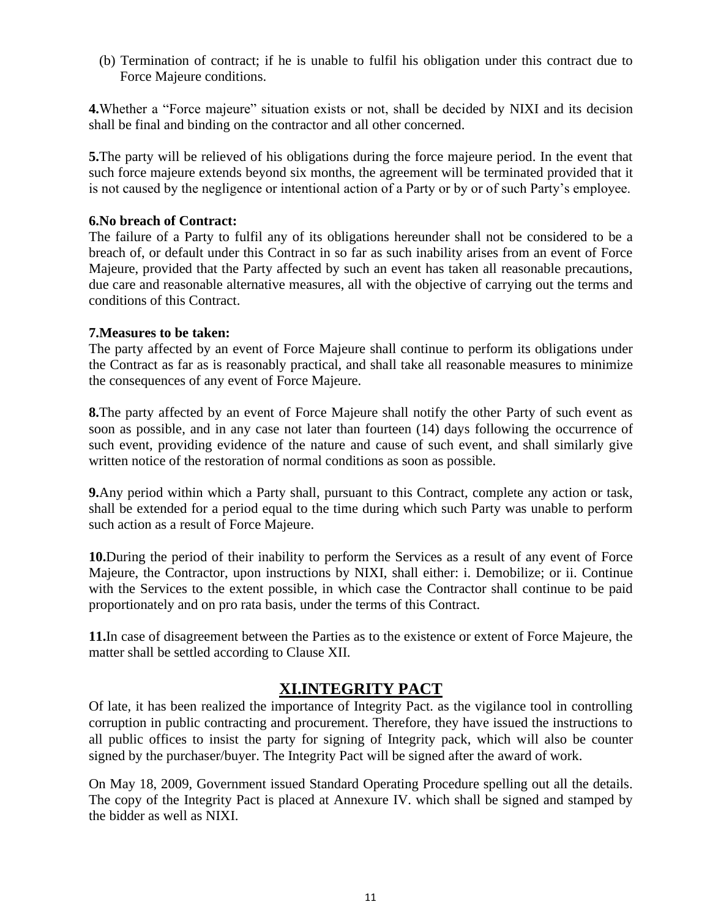(b) Termination of contract; if he is unable to fulfil his obligation under this contract due to Force Majeure conditions.

**4.**Whether a "Force majeure" situation exists or not, shall be decided by NIXI and its decision shall be final and binding on the contractor and all other concerned.

**5.**The party will be relieved of his obligations during the force majeure period. In the event that such force majeure extends beyond six months, the agreement will be terminated provided that it is not caused by the negligence or intentional action of a Party or by or of such Party's employee.

#### **6.No breach of Contract:**

The failure of a Party to fulfil any of its obligations hereunder shall not be considered to be a breach of, or default under this Contract in so far as such inability arises from an event of Force Majeure, provided that the Party affected by such an event has taken all reasonable precautions, due care and reasonable alternative measures, all with the objective of carrying out the terms and conditions of this Contract.

#### **7.Measures to be taken:**

The party affected by an event of Force Majeure shall continue to perform its obligations under the Contract as far as is reasonably practical, and shall take all reasonable measures to minimize the consequences of any event of Force Majeure.

**8.**The party affected by an event of Force Majeure shall notify the other Party of such event as soon as possible, and in any case not later than fourteen (14) days following the occurrence of such event, providing evidence of the nature and cause of such event, and shall similarly give written notice of the restoration of normal conditions as soon as possible.

**9.**Any period within which a Party shall, pursuant to this Contract, complete any action or task, shall be extended for a period equal to the time during which such Party was unable to perform such action as a result of Force Majeure.

**10.**During the period of their inability to perform the Services as a result of any event of Force Majeure, the Contractor, upon instructions by NIXI, shall either: i. Demobilize; or ii. Continue with the Services to the extent possible, in which case the Contractor shall continue to be paid proportionately and on pro rata basis, under the terms of this Contract.

**11.**In case of disagreement between the Parties as to the existence or extent of Force Majeure, the matter shall be settled according to Clause XII.

#### **XI.INTEGRITY PACT**

Of late, it has been realized the importance of Integrity Pact. as the vigilance tool in controlling corruption in public contracting and procurement. Therefore, they have issued the instructions to all public offices to insist the party for signing of Integrity pack, which will also be counter signed by the purchaser/buyer. The Integrity Pact will be signed after the award of work.

On May 18, 2009, Government issued Standard Operating Procedure spelling out all the details. The copy of the Integrity Pact is placed at Annexure IV. which shall be signed and stamped by the bidder as well as NIXI.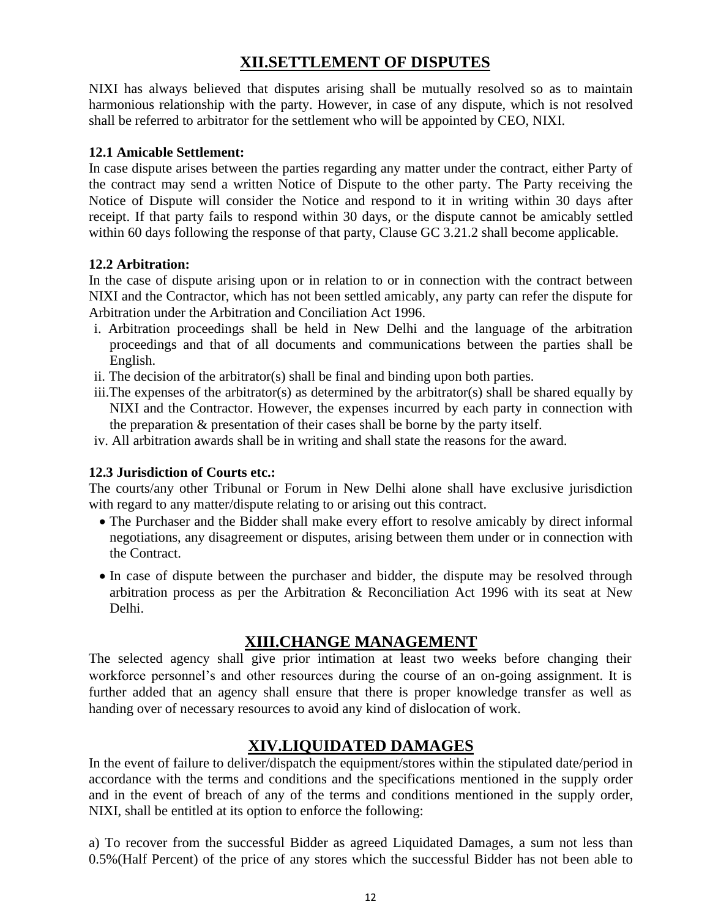### **XII.SETTLEMENT OF DISPUTES**

NIXI has always believed that disputes arising shall be mutually resolved so as to maintain harmonious relationship with the party. However, in case of any dispute, which is not resolved shall be referred to arbitrator for the settlement who will be appointed by CEO, NIXI.

#### **12.1 Amicable Settlement:**

In case dispute arises between the parties regarding any matter under the contract, either Party of the contract may send a written Notice of Dispute to the other party. The Party receiving the Notice of Dispute will consider the Notice and respond to it in writing within 30 days after receipt. If that party fails to respond within 30 days, or the dispute cannot be amicably settled within 60 days following the response of that party, Clause GC 3.21.2 shall become applicable.

#### **12.2 Arbitration:**

In the case of dispute arising upon or in relation to or in connection with the contract between NIXI and the Contractor, which has not been settled amicably, any party can refer the dispute for Arbitration under the Arbitration and Conciliation Act 1996.

- i. Arbitration proceedings shall be held in New Delhi and the language of the arbitration proceedings and that of all documents and communications between the parties shall be English.
- ii. The decision of the arbitrator(s) shall be final and binding upon both parties.
- iii.The expenses of the arbitrator(s) as determined by the arbitrator(s) shall be shared equally by NIXI and the Contractor. However, the expenses incurred by each party in connection with the preparation & presentation of their cases shall be borne by the party itself.
- iv. All arbitration awards shall be in writing and shall state the reasons for the award.

#### **12.3 Jurisdiction of Courts etc.:**

The courts/any other Tribunal or Forum in New Delhi alone shall have exclusive jurisdiction with regard to any matter/dispute relating to or arising out this contract.

- The Purchaser and the Bidder shall make every effort to resolve amicably by direct informal negotiations, any disagreement or disputes, arising between them under or in connection with the Contract.
- In case of dispute between the purchaser and bidder, the dispute may be resolved through arbitration process as per the Arbitration & Reconciliation Act 1996 with its seat at New Delhi.

### **XIII.CHANGE MANAGEMENT**

The selected agency shall give prior intimation at least two weeks before changing their workforce personnel's and other resources during the course of an on-going assignment. It is further added that an agency shall ensure that there is proper knowledge transfer as well as handing over of necessary resources to avoid any kind of dislocation of work.

### **XIV.LIQUIDATED DAMAGES**

In the event of failure to deliver/dispatch the equipment/stores within the stipulated date/period in accordance with the terms and conditions and the specifications mentioned in the supply order and in the event of breach of any of the terms and conditions mentioned in the supply order, NIXI, shall be entitled at its option to enforce the following:

a) To recover from the successful Bidder as agreed Liquidated Damages, a sum not less than 0.5%(Half Percent) of the price of any stores which the successful Bidder has not been able to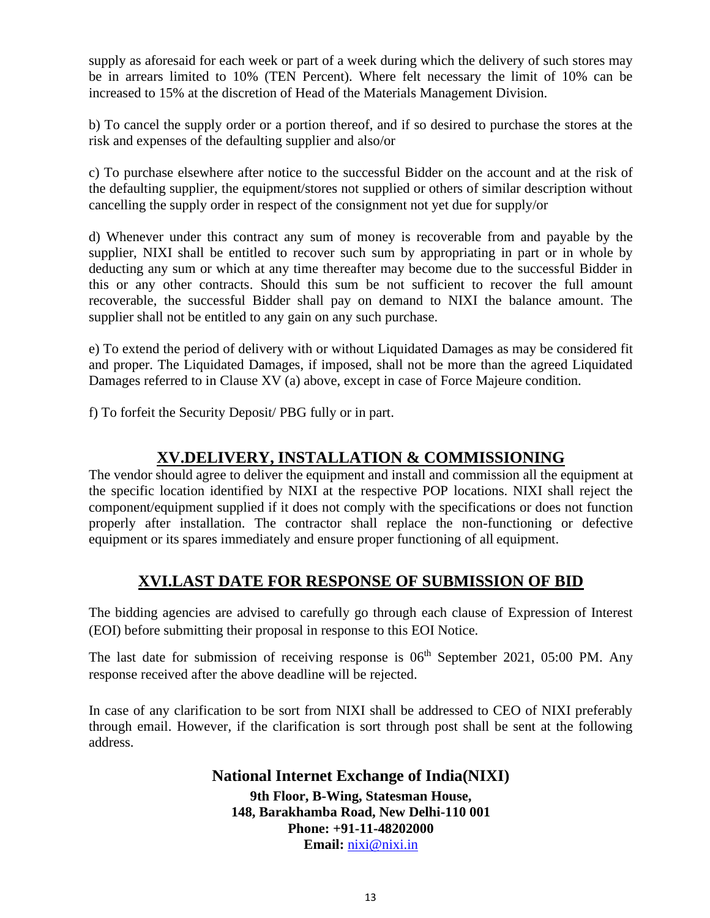supply as aforesaid for each week or part of a week during which the delivery of such stores may be in arrears limited to 10% (TEN Percent). Where felt necessary the limit of 10% can be increased to 15% at the discretion of Head of the Materials Management Division.

b) To cancel the supply order or a portion thereof, and if so desired to purchase the stores at the risk and expenses of the defaulting supplier and also/or

c) To purchase elsewhere after notice to the successful Bidder on the account and at the risk of the defaulting supplier, the equipment/stores not supplied or others of similar description without cancelling the supply order in respect of the consignment not yet due for supply/or

d) Whenever under this contract any sum of money is recoverable from and payable by the supplier, NIXI shall be entitled to recover such sum by appropriating in part or in whole by deducting any sum or which at any time thereafter may become due to the successful Bidder in this or any other contracts. Should this sum be not sufficient to recover the full amount recoverable, the successful Bidder shall pay on demand to NIXI the balance amount. The supplier shall not be entitled to any gain on any such purchase.

e) To extend the period of delivery with or without Liquidated Damages as may be considered fit and proper. The Liquidated Damages, if imposed, shall not be more than the agreed Liquidated Damages referred to in Clause XV (a) above, except in case of Force Majeure condition.

f) To forfeit the Security Deposit/ PBG fully or in part.

### **XV.DELIVERY, INSTALLATION & COMMISSIONING**

The vendor should agree to deliver the equipment and install and commission all the equipment at the specific location identified by NIXI at the respective POP locations. NIXI shall reject the component/equipment supplied if it does not comply with the specifications or does not function properly after installation. The contractor shall replace the non-functioning or defective equipment or its spares immediately and ensure proper functioning of all equipment.

### **XVI.LAST DATE FOR RESPONSE OF SUBMISSION OF BID**

The bidding agencies are advised to carefully go through each clause of Expression of Interest (EOI) before submitting their proposal in response to this EOI Notice.

The last date for submission of receiving response is  $06<sup>th</sup>$  September 2021, 05:00 PM. Any response received after the above deadline will be rejected.

In case of any clarification to be sort from NIXI shall be addressed to CEO of NIXI preferably through email. However, if the clarification is sort through post shall be sent at the following address.

#### **National Internet Exchange of India(NIXI) 9th Floor, B-Wing, Statesman House, 148, Barakhamba Road, New Delhi-110 001 Phone: +91-11-48202000 Email:** [nixi@nixi.in](mailto:nixi@nixi.in)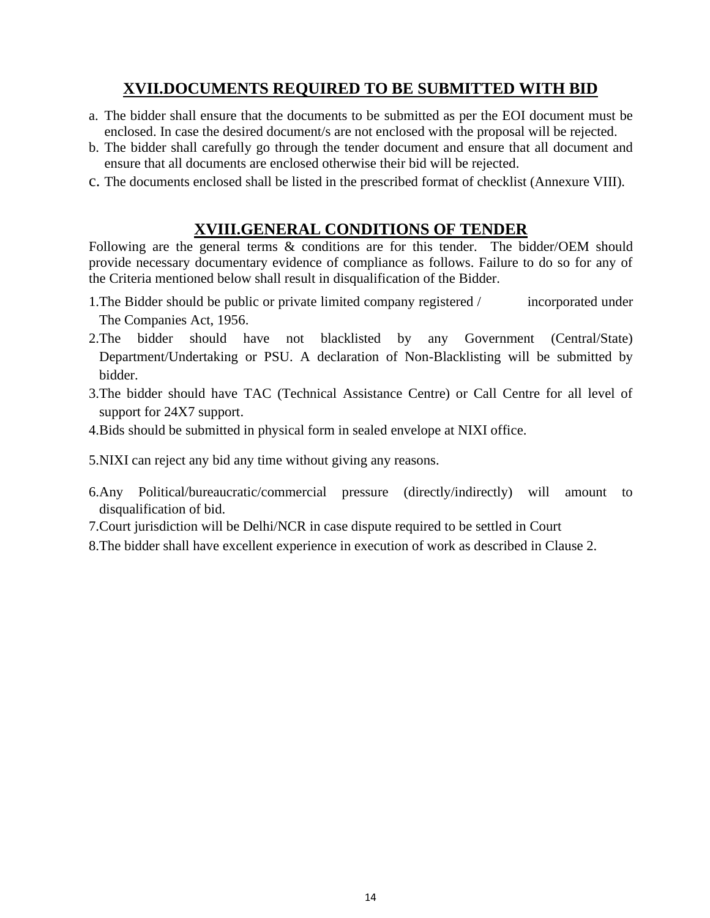### **XVII.DOCUMENTS REQUIRED TO BE SUBMITTED WITH BID**

- a. The bidder shall ensure that the documents to be submitted as per the EOI document must be enclosed. In case the desired document/s are not enclosed with the proposal will be rejected.
- b. The bidder shall carefully go through the tender document and ensure that all document and ensure that all documents are enclosed otherwise their bid will be rejected.
- c. The documents enclosed shall be listed in the prescribed format of checklist (Annexure VIII).

### **XVIII.GENERAL CONDITIONS OF TENDER**

Following are the general terms & conditions are for this tender. The bidder/OEM should provide necessary documentary evidence of compliance as follows. Failure to do so for any of the Criteria mentioned below shall result in disqualification of the Bidder.

- 1. The Bidder should be public or private limited company registered / incorporated under The Companies Act, 1956.
- 2.The bidder should have not blacklisted by any Government (Central/State) Department/Undertaking or PSU. A declaration of Non-Blacklisting will be submitted by bidder.
- 3.The bidder should have TAC (Technical Assistance Centre) or Call Centre for all level of support for 24X7 support.
- 4.Bids should be submitted in physical form in sealed envelope at NIXI office.

5.NIXI can reject any bid any time without giving any reasons.

- 6.Any Political/bureaucratic/commercial pressure (directly/indirectly) will amount to disqualification of bid.
- 7.Court jurisdiction will be Delhi/NCR in case dispute required to be settled in Court
- 8.The bidder shall have excellent experience in execution of work as described in Clause 2.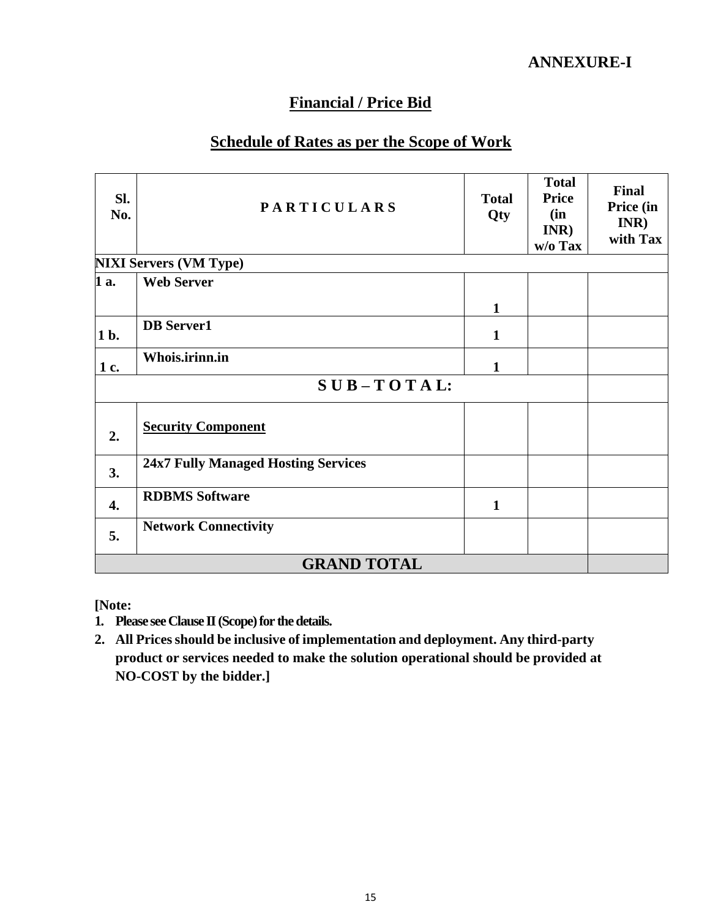### **Financial / Price Bid**

### **Schedule of Rates as per the Scope of Work**

| SI.<br>No.         | <b>PARTICULARS</b>                         |              | <b>Total</b><br><b>Price</b><br>(in<br>INR)<br>w/o Tax | Final<br>Price (in<br>INR)<br>with Tax |  |
|--------------------|--------------------------------------------|--------------|--------------------------------------------------------|----------------------------------------|--|
|                    | <b>NIXI Servers (VM Type)</b>              |              |                                                        |                                        |  |
| 1 a.               | <b>Web Server</b>                          |              |                                                        |                                        |  |
|                    |                                            | $\mathbf{1}$ |                                                        |                                        |  |
| 1 b.               | <b>DB</b> Server1                          | $\mathbf{1}$ |                                                        |                                        |  |
| 1 c.               | Whois.irinn.in                             | 1            |                                                        |                                        |  |
|                    | $SUB - TOTAL$ :                            |              |                                                        |                                        |  |
| 2.                 | <b>Security Component</b>                  |              |                                                        |                                        |  |
| 3.                 | <b>24x7 Fully Managed Hosting Services</b> |              |                                                        |                                        |  |
| 4.                 | <b>RDBMS Software</b>                      | $\mathbf{1}$ |                                                        |                                        |  |
| 5.                 | <b>Network Connectivity</b>                |              |                                                        |                                        |  |
| <b>GRAND TOTAL</b> |                                            |              |                                                        |                                        |  |

**[Note:**

- **1. Please see Clause II (Scope) for the details.**
- **2. All Pricesshould be inclusive of implementation and deployment. Any third-party product or services needed to make the solution operational should be provided at NO-COST by the bidder.]**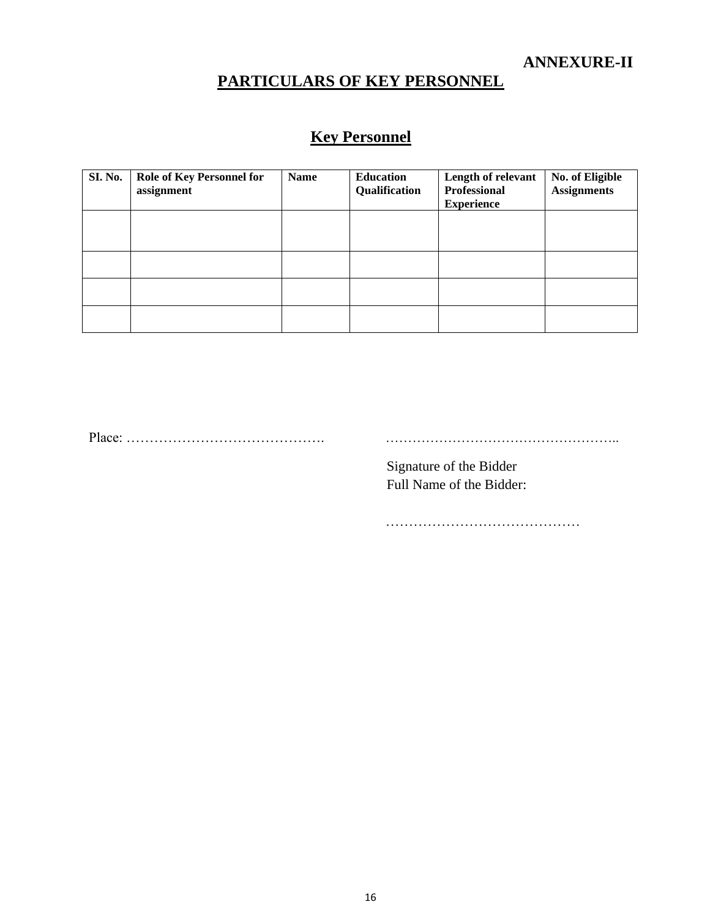## **PARTICULARS OF KEY PERSONNEL**

## **Key Personnel**

| <b>SI. No.</b> | <b>Role of Key Personnel for</b><br>assignment | <b>Name</b> | <b>Education</b><br>Qualification | Length of relevant<br><b>Professional</b><br><b>Experience</b> | No. of Eligible<br><b>Assignments</b> |
|----------------|------------------------------------------------|-------------|-----------------------------------|----------------------------------------------------------------|---------------------------------------|
|                |                                                |             |                                   |                                                                |                                       |
|                |                                                |             |                                   |                                                                |                                       |
|                |                                                |             |                                   |                                                                |                                       |
|                |                                                |             |                                   |                                                                |                                       |

Place: ……………………………………. ……………………………………………..

Signature of the Bidder Full Name of the Bidder:

……………………………………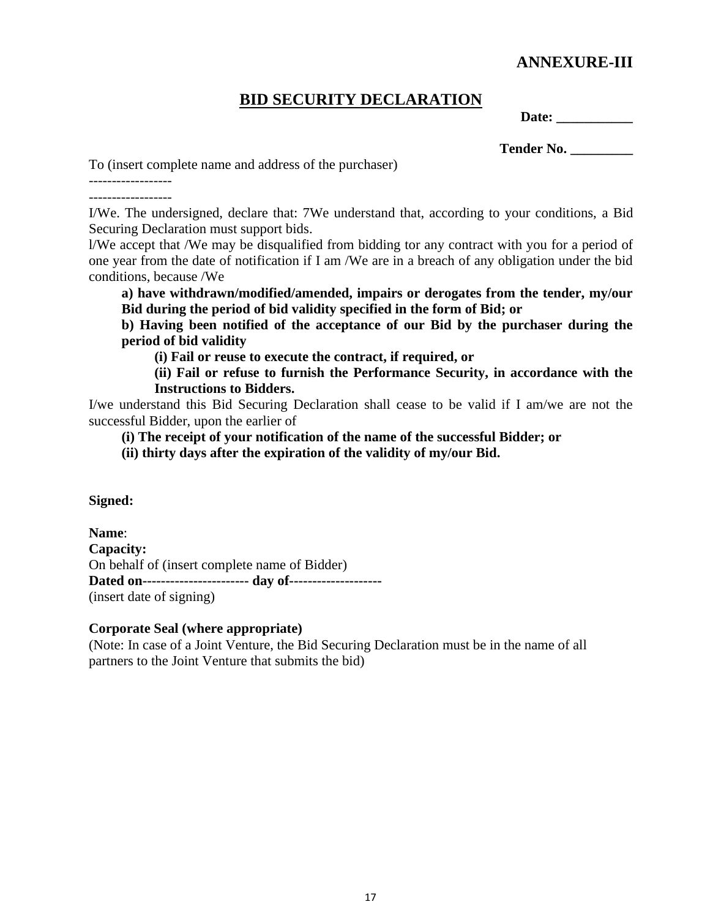### **ANNEXURE-III**

### **BID SECURITY DECLARATION**

**Date: \_\_\_\_\_\_\_\_\_\_\_**

**Tender No. \_\_\_\_\_\_\_\_\_**

To (insert complete name and address of the purchaser)

------------------ ------------------

I/We. The undersigned, declare that: 7We understand that, according to your conditions, a Bid Securing Declaration must support bids.

l/We accept that /We may be disqualified from bidding tor any contract with you for a period of one year from the date of notification if I am /We are in a breach of any obligation under the bid conditions, because /We

**a) have withdrawn/modified/amended, impairs or derogates from the tender, my/our Bid during the period of bid validity specified in the form of Bid; or** 

**b) Having been notified of the acceptance of our Bid by the purchaser during the period of bid validity**

**(i) Fail or reuse to execute the contract, if required, or** 

**(ii) Fail or refuse to furnish the Performance Security, in accordance with the Instructions to Bidders.** 

I/we understand this Bid Securing Declaration shall cease to be valid if I am/we are not the successful Bidder, upon the earlier of

**(i) The receipt of your notification of the name of the successful Bidder; or** 

**(ii) thirty days after the expiration of the validity of my/our Bid.** 

**Signed:**

**Name**: **Capacity:** On behalf of (insert complete name of Bidder) **Dated on----------------------- day of--------------------** (insert date of signing)

#### **Corporate Seal (where appropriate)**

(Note: In case of a Joint Venture, the Bid Securing Declaration must be in the name of all partners to the Joint Venture that submits the bid)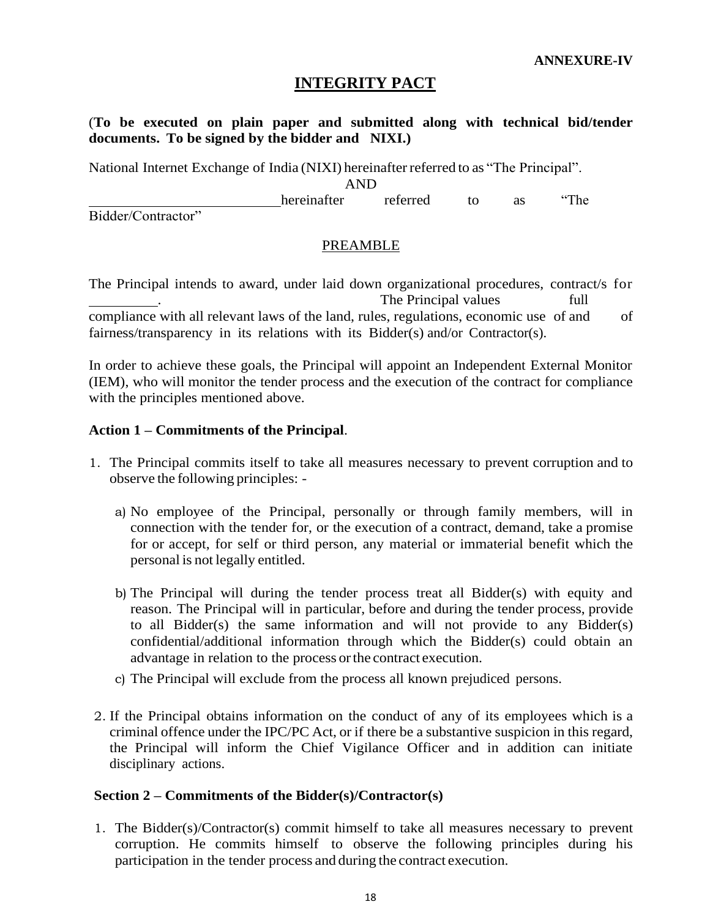### **INTEGRITY PACT**

(**To be executed on plain paper and submitted along with technical bid/tender documents. To be signed by the bidder and NIXI.)**

National Internet Exchange of India (NIXI) hereinafter referred to as "The Principal".

AND

hereinafter referred to as "The

Bidder/Contractor"

#### PREAMBLE

The Principal intends to award, under laid down organizational procedures, contract/s for The Principal values full compliance with all relevant laws of the land, rules, regulations, economic use of and of fairness/transparency in its relations with its Bidder(s) and/or Contractor(s).

In order to achieve these goals, the Principal will appoint an Independent External Monitor (IEM), who will monitor the tender process and the execution of the contract for compliance with the principles mentioned above.

#### **Action 1 – Commitments of the Principal**.

- 1. The Principal commits itself to take all measures necessary to prevent corruption and to observe the following principles:
	- a) No employee of the Principal, personally or through family members, will in connection with the tender for, or the execution of a contract, demand, take a promise for or accept, for self or third person, any material or immaterial benefit which the personal is not legally entitled.
	- b) The Principal will during the tender process treat all Bidder(s) with equity and reason. The Principal will in particular, before and during the tender process, provide to all Bidder(s) the same information and will not provide to any Bidder(s) confidential/additional information through which the Bidder(s) could obtain an advantage in relation to the process or the contract execution.
	- c) The Principal will exclude from the process all known prejudiced persons.
- 2. If the Principal obtains information on the conduct of any of its employees which is a criminal offence under the IPC/PC Act, or if there be a substantive suspicion in this regard, the Principal will inform the Chief Vigilance Officer and in addition can initiate disciplinary actions.

#### **Section 2 – Commitments of the Bidder(s)/Contractor(s)**

1. The Bidder(s)/Contractor(s) commit himself to take all measures necessary to prevent corruption. He commits himself to observe the following principles during his participation in the tender process and during the contract execution.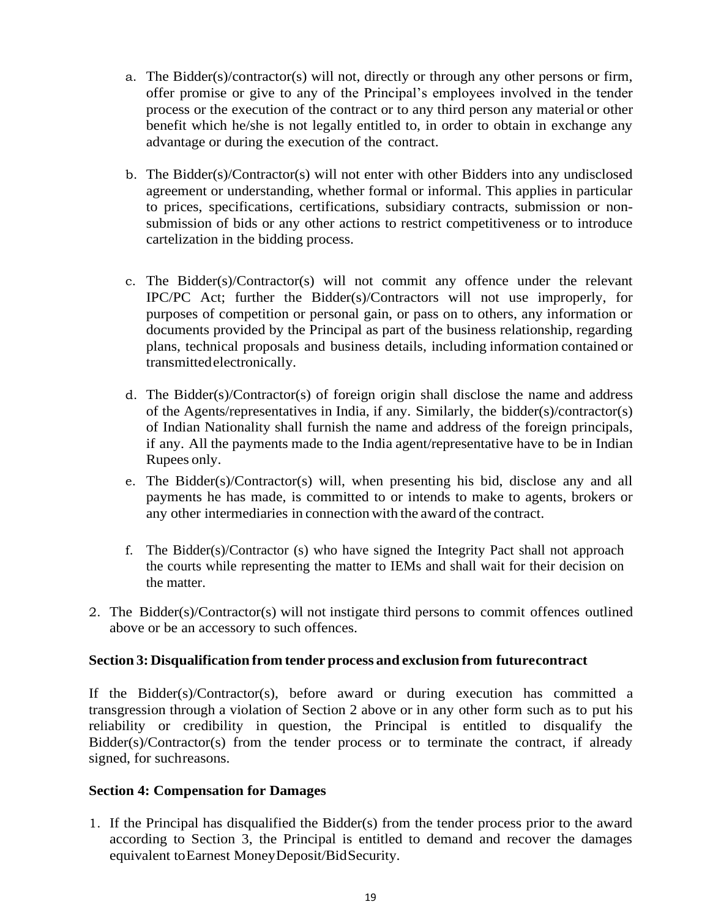- a. The Bidder(s)/contractor(s) will not, directly or through any other persons or firm, offer promise or give to any of the Principal's employees involved in the tender process or the execution of the contract or to any third person any material or other benefit which he/she is not legally entitled to, in order to obtain in exchange any advantage or during the execution of the contract.
- b. The Bidder(s)/Contractor(s) will not enter with other Bidders into any undisclosed agreement or understanding, whether formal or informal. This applies in particular to prices, specifications, certifications, subsidiary contracts, submission or nonsubmission of bids or any other actions to restrict competitiveness or to introduce cartelization in the bidding process.
- c. The Bidder(s)/Contractor(s) will not commit any offence under the relevant IPC/PC Act; further the Bidder(s)/Contractors will not use improperly, for purposes of competition or personal gain, or pass on to others, any information or documents provided by the Principal as part of the business relationship, regarding plans, technical proposals and business details, including information contained or transmittedelectronically.
- d. The Bidder(s)/Contractor(s) of foreign origin shall disclose the name and address of the Agents/representatives in India, if any. Similarly, the bidder(s)/contractor(s) of Indian Nationality shall furnish the name and address of the foreign principals, if any. All the payments made to the India agent/representative have to be in Indian Rupees only.
- e. The Bidder(s)/Contractor(s) will, when presenting his bid, disclose any and all payments he has made, is committed to or intends to make to agents, brokers or any other intermediaries in connection with the award of the contract.
- f. The Bidder(s)/Contractor (s) who have signed the Integrity Pact shall not approach the courts while representing the matter to IEMs and shall wait for their decision on the matter.
- 2. The Bidder(s)/Contractor(s) will not instigate third persons to commit offences outlined above or be an accessory to such offences.

#### **Section 3: Disqualification from tender process and exclusion from futurecontract**

If the Bidder(s)/Contractor(s), before award or during execution has committed a transgression through a violation of Section 2 above or in any other form such as to put his reliability or credibility in question, the Principal is entitled to disqualify the Bidder(s)/Contractor(s) from the tender process or to terminate the contract, if already signed, for suchreasons.

#### **Section 4: Compensation for Damages**

1. If the Principal has disqualified the Bidder(s) from the tender process prior to the award according to Section 3, the Principal is entitled to demand and recover the damages equivalent toEarnest MoneyDeposit/BidSecurity.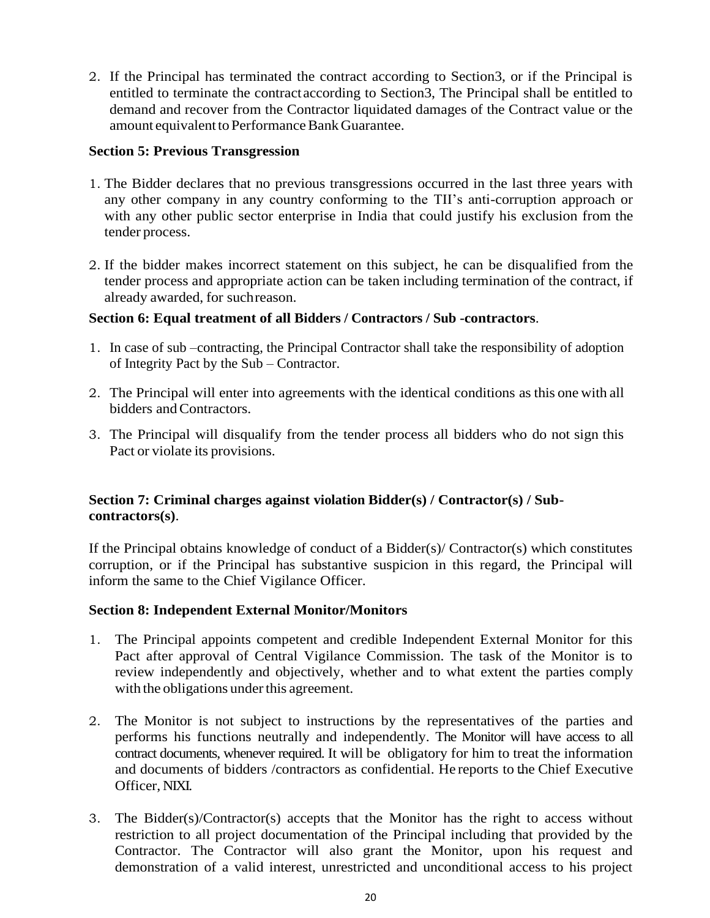2. If the Principal has terminated the contract according to Section3, or if the Principal is entitled to terminate the contractaccording to Section3, The Principal shall be entitled to demand and recover from the Contractor liquidated damages of the Contract value or the amount equivalent to Performance Bank Guarantee.

#### **Section 5: Previous Transgression**

- 1. The Bidder declares that no previous transgressions occurred in the last three years with any other company in any country conforming to the TII's anti-corruption approach or with any other public sector enterprise in India that could justify his exclusion from the tender process.
- 2. If the bidder makes incorrect statement on this subject, he can be disqualified from the tender process and appropriate action can be taken including termination of the contract, if already awarded, for suchreason.

#### **Section 6: Equal treatment of all Bidders / Contractors / Sub -contractors**.

- 1. In case of sub –contracting, the Principal Contractor shall take the responsibility of adoption of Integrity Pact by the Sub – Contractor.
- 2. The Principal will enter into agreements with the identical conditions as this one with all bidders andContractors.
- 3. The Principal will disqualify from the tender process all bidders who do not sign this Pact or violate its provisions.

#### **Section 7: Criminal charges against violation Bidder(s) / Contractor(s) / Subcontractors(s)**.

If the Principal obtains knowledge of conduct of a Bidder(s)/ Contractor(s) which constitutes corruption, or if the Principal has substantive suspicion in this regard, the Principal will inform the same to the Chief Vigilance Officer.

#### **Section 8: Independent External Monitor/Monitors**

- 1. The Principal appoints competent and credible Independent External Monitor for this Pact after approval of Central Vigilance Commission. The task of the Monitor is to review independently and objectively, whether and to what extent the parties comply with the obligations under this agreement.
- 2. The Monitor is not subject to instructions by the representatives of the parties and performs his functions neutrally and independently. The Monitor will have access to all contract documents, whenever required. It will be obligatory for him to treat the information and documents of bidders /contractors as confidential. He reports to the Chief Executive Officer, NIXI.
- 3. The Bidder(s)/Contractor(s) accepts that the Monitor has the right to access without restriction to all project documentation of the Principal including that provided by the Contractor. The Contractor will also grant the Monitor, upon his request and demonstration of a valid interest, unrestricted and unconditional access to his project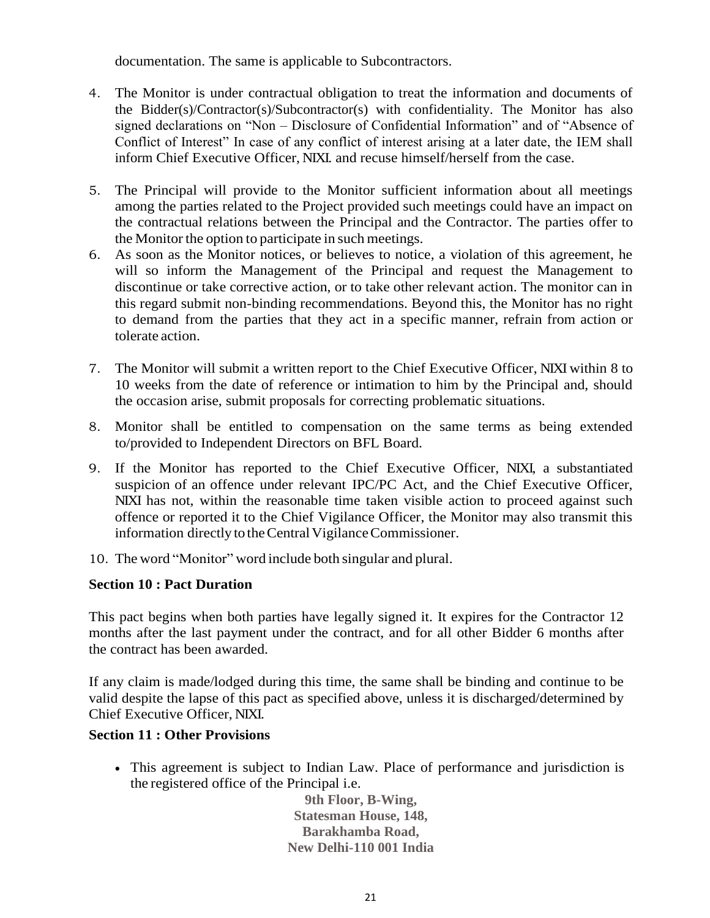documentation. The same is applicable to Subcontractors.

- 4. The Monitor is under contractual obligation to treat the information and documents of the Bidder(s)/Contractor(s)/Subcontractor(s) with confidentiality. The Monitor has also signed declarations on "Non – Disclosure of Confidential Information" and of "Absence of Conflict of Interest" In case of any conflict of interest arising at a later date, the IEM shall inform Chief Executive Officer, NIXI. and recuse himself/herself from the case.
- 5. The Principal will provide to the Monitor sufficient information about all meetings among the parties related to the Project provided such meetings could have an impact on the contractual relations between the Principal and the Contractor. The parties offer to the Monitor the option to participate in such meetings.
- 6. As soon as the Monitor notices, or believes to notice, a violation of this agreement, he will so inform the Management of the Principal and request the Management to discontinue or take corrective action, or to take other relevant action. The monitor can in this regard submit non-binding recommendations. Beyond this, the Monitor has no right to demand from the parties that they act in a specific manner, refrain from action or tolerate action.
- 7. The Monitor will submit a written report to the Chief Executive Officer, NIXI within 8 to 10 weeks from the date of reference or intimation to him by the Principal and, should the occasion arise, submit proposals for correcting problematic situations.
- 8. Monitor shall be entitled to compensation on the same terms as being extended to/provided to Independent Directors on BFL Board.
- 9. If the Monitor has reported to the Chief Executive Officer, NIXI, a substantiated suspicion of an offence under relevant IPC/PC Act, and the Chief Executive Officer, NIXI has not, within the reasonable time taken visible action to proceed against such offence or reported it to the Chief Vigilance Officer, the Monitor may also transmit this information directly to the Central Vigilance Commissioner.
- 10. The word "Monitor" word include both singular and plural.

#### **Section 10 : Pact Duration**

This pact begins when both parties have legally signed it. It expires for the Contractor 12 months after the last payment under the contract, and for all other Bidder 6 months after the contract has been awarded.

If any claim is made/lodged during this time, the same shall be binding and continue to be valid despite the lapse of this pact as specified above, unless it is discharged/determined by Chief Executive Officer, NIXI.

#### **Section 11 : Other Provisions**

• This agreement is subject to Indian Law. Place of performance and jurisdiction is the registered office of the Principal i.e.

**9th Floor, B-Wing, Statesman House, 148, Barakhamba Road, New Delhi-110 001 India**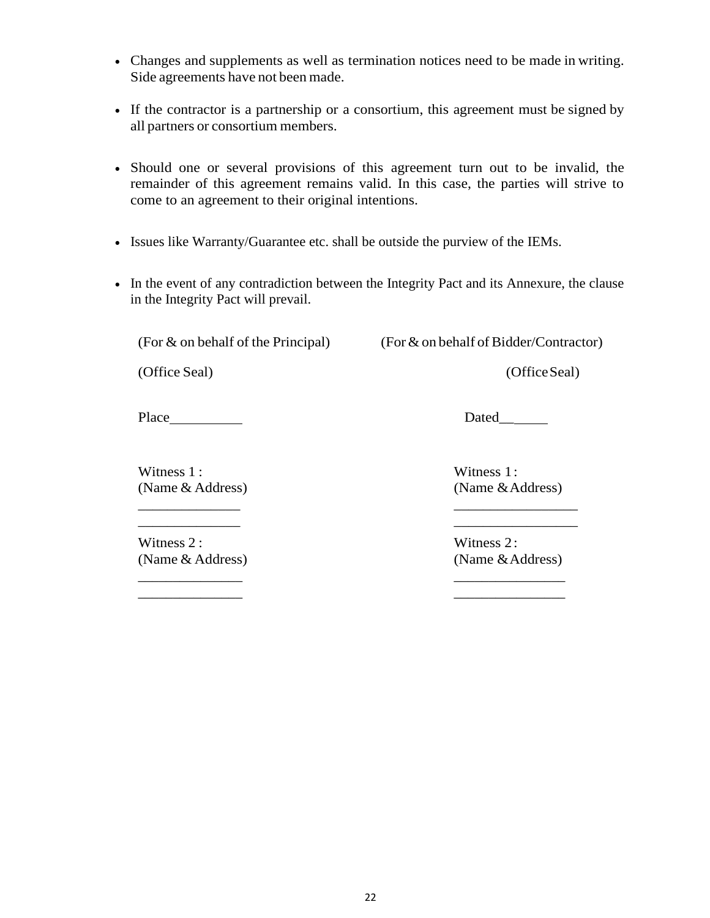- Changes and supplements as well as termination notices need to be made in writing. Side agreements have not been made.
- If the contractor is a partnership or a consortium, this agreement must be signed by all partners or consortium members.
- Should one or several provisions of this agreement turn out to be invalid, the remainder of this agreement remains valid. In this case, the parties will strive to come to an agreement to their original intentions.
- Issues like Warranty/Guarantee etc. shall be outside the purview of the IEMs.
- In the event of any contradiction between the Integrity Pact and its Annexure, the clause in the Integrity Pact will prevail.

\_\_\_\_\_\_\_\_\_\_\_\_\_\_ \_\_\_\_\_\_\_\_\_\_\_\_\_\_\_\_\_

\_\_\_\_\_\_\_\_\_\_\_\_\_\_\_ \_\_\_\_\_\_\_\_\_\_\_\_\_\_\_\_ \_\_\_\_\_\_\_\_\_\_\_\_\_\_\_ \_\_\_\_\_\_\_\_\_\_\_\_\_\_\_\_

(For  $&$  on behalf of the Principal) (For  $&$  on behalf of Bidder/Contractor)

(Office Seal) (Office Seal)

Place Dated\_

Witness 1 : Witness 1 : (Name & Address) (Name & Address) \_\_\_\_\_\_\_\_\_\_\_\_\_\_ \_\_\_\_\_\_\_\_\_\_\_\_\_\_\_\_\_

Witness 2: Witness 2: (Name & Address) (Name & Address)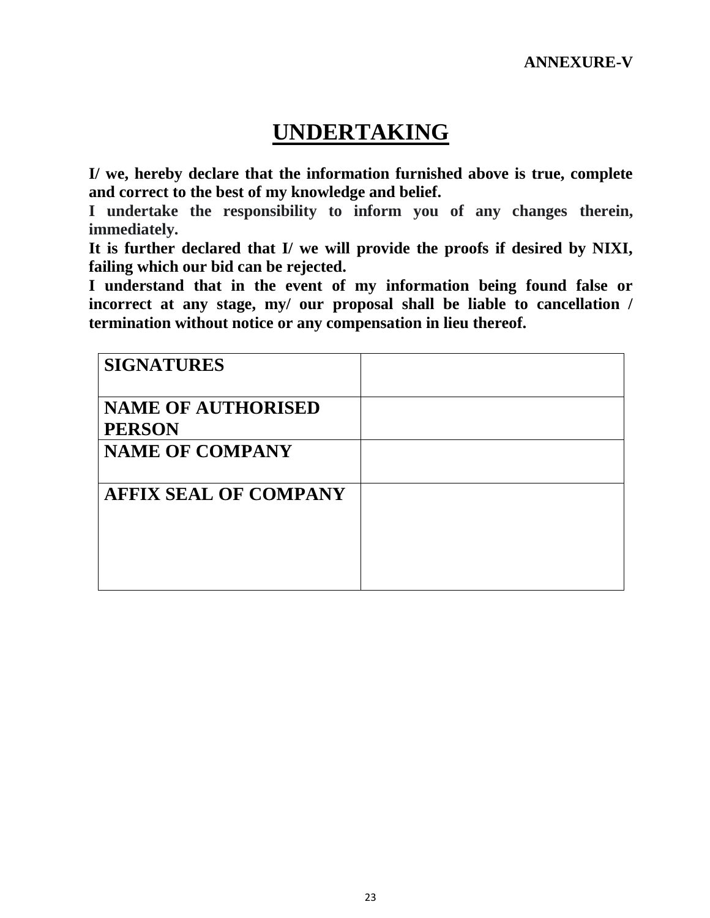# **UNDERTAKING**

**I/ we, hereby declare that the information furnished above is true, complete and correct to the best of my knowledge and belief.**

**I undertake the responsibility to inform you of any changes therein, immediately.**

**It is further declared that I/ we will provide the proofs if desired by NIXI, failing which our bid can be rejected.**

**I understand that in the event of my information being found false or incorrect at any stage, my/ our proposal shall be liable to cancellation / termination without notice or any compensation in lieu thereof.**

| <b>SIGNATURES</b>                          |  |
|--------------------------------------------|--|
| <b>NAME OF AUTHORISED</b><br><b>PERSON</b> |  |
| <b>NAME OF COMPANY</b>                     |  |
| <b>AFFIX SEAL OF COMPANY</b>               |  |
|                                            |  |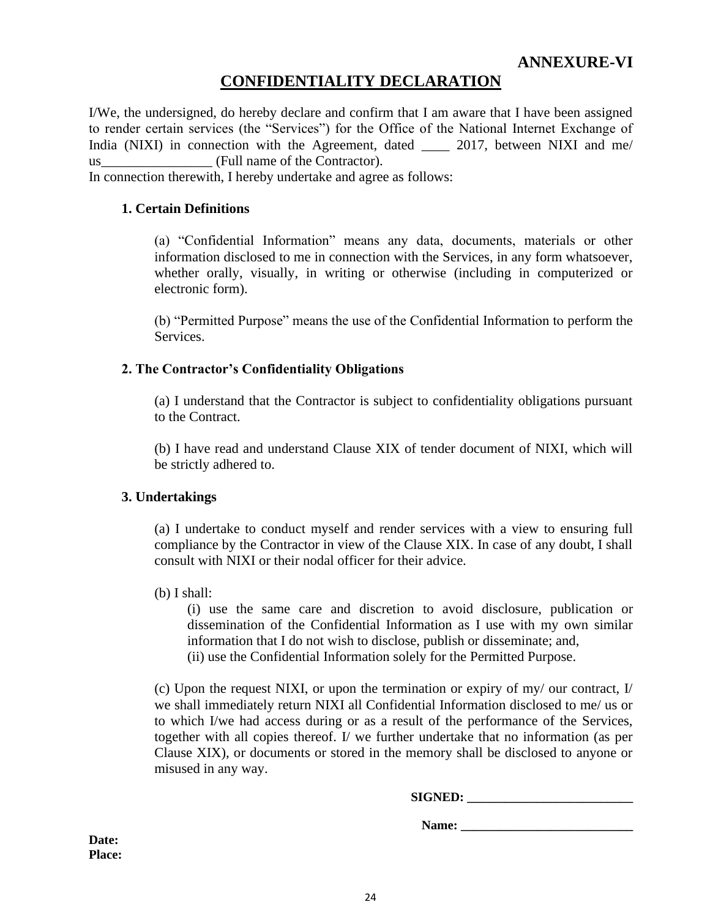### **CONFIDENTIALITY DECLARATION**

I/We, the undersigned, do hereby declare and confirm that I am aware that I have been assigned to render certain services (the "Services") for the Office of the National Internet Exchange of India (NIXI) in connection with the Agreement, dated 2017, between NIXI and me/ us (Full name of the Contractor).

In connection therewith, I hereby undertake and agree as follows:

#### **1. Certain Definitions**

(a) "Confidential Information" means any data, documents, materials or other information disclosed to me in connection with the Services, in any form whatsoever, whether orally, visually, in writing or otherwise (including in computerized or electronic form).

(b) "Permitted Purpose" means the use of the Confidential Information to perform the Services.

#### **2. The Contractor's Confidentiality Obligations**

(a) I understand that the Contractor is subject to confidentiality obligations pursuant to the Contract.

(b) I have read and understand Clause XIX of tender document of NIXI, which will be strictly adhered to.

#### **3. Undertakings**

(a) I undertake to conduct myself and render services with a view to ensuring full compliance by the Contractor in view of the Clause XIX. In case of any doubt, I shall consult with NIXI or their nodal officer for their advice.

(b) I shall:

(i) use the same care and discretion to avoid disclosure, publication or dissemination of the Confidential Information as I use with my own similar information that I do not wish to disclose, publish or disseminate; and,

(ii) use the Confidential Information solely for the Permitted Purpose.

(c) Upon the request NIXI, or upon the termination or expiry of my/ our contract,  $I$ we shall immediately return NIXI all Confidential Information disclosed to me/ us or to which I/we had access during or as a result of the performance of the Services, together with all copies thereof. I/ we further undertake that no information (as per Clause XIX), or documents or stored in the memory shall be disclosed to anyone or misused in any way.

**SIGNED: \_\_\_\_\_\_\_\_\_\_\_\_\_\_\_\_\_\_\_\_\_\_\_\_\_\_**

Name:

**Date: Place:**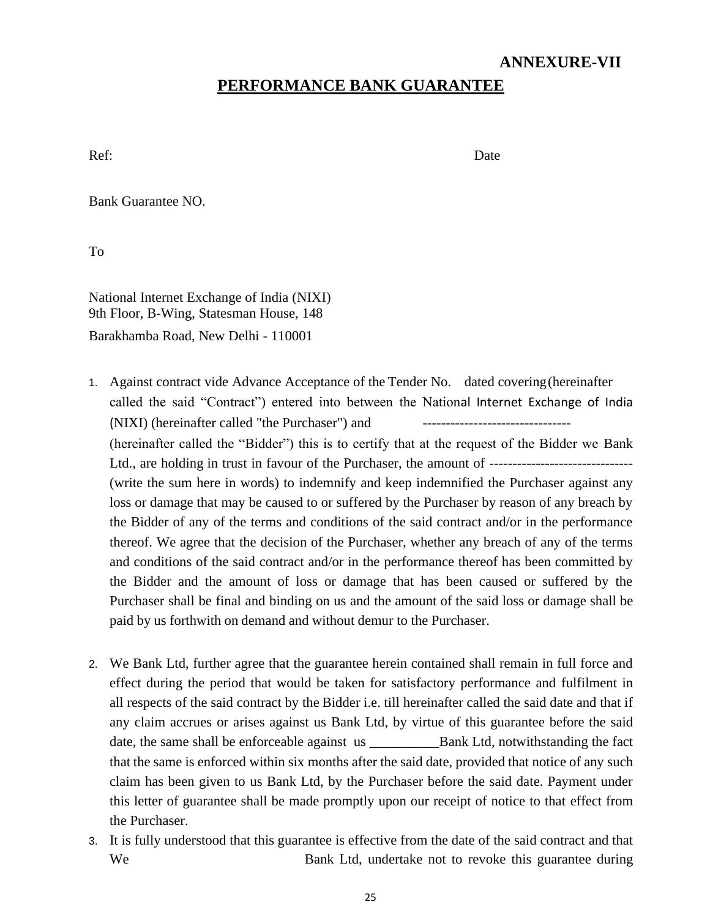#### **ANNEXURE-VII**

### **PERFORMANCE BANK GUARANTEE**

Ref: Date

Bank Guarantee NO.

To

National Internet Exchange of India (NIXI) 9th Floor, B-Wing, Statesman House, 148 Barakhamba Road, New Delhi - 110001

- 1. Against contract vide Advance Acceptance of the Tender No. dated covering(hereinafter called the said "Contract") entered into between the National Internet Exchange of India (NIXI) (hereinafter called "the Purchaser") and (hereinafter called the "Bidder") this is to certify that at the request of the Bidder we Bank Ltd., are holding in trust in favour of the Purchaser, the amount of ------------------------------- (write the sum here in words) to indemnify and keep indemnified the Purchaser against any loss or damage that may be caused to or suffered by the Purchaser by reason of any breach by the Bidder of any of the terms and conditions of the said contract and/or in the performance thereof. We agree that the decision of the Purchaser, whether any breach of any of the terms and conditions of the said contract and/or in the performance thereof has been committed by the Bidder and the amount of loss or damage that has been caused or suffered by the Purchaser shall be final and binding on us and the amount of the said loss or damage shall be paid by us forthwith on demand and without demur to the Purchaser.
- 2. We Bank Ltd, further agree that the guarantee herein contained shall remain in full force and effect during the period that would be taken for satisfactory performance and fulfilment in all respects of the said contract by the Bidder i.e. till hereinafter called the said date and that if any claim accrues or arises against us Bank Ltd, by virtue of this guarantee before the said date, the same shall be enforceable against us \_\_\_\_\_\_\_\_\_\_Bank Ltd, notwithstanding the fact that the same is enforced within six months after the said date, provided that notice of any such claim has been given to us Bank Ltd, by the Purchaser before the said date. Payment under this letter of guarantee shall be made promptly upon our receipt of notice to that effect from the Purchaser.
- 3. It is fully understood that this guarantee is effective from the date of the said contract and that We Bank Ltd, undertake not to revoke this guarantee during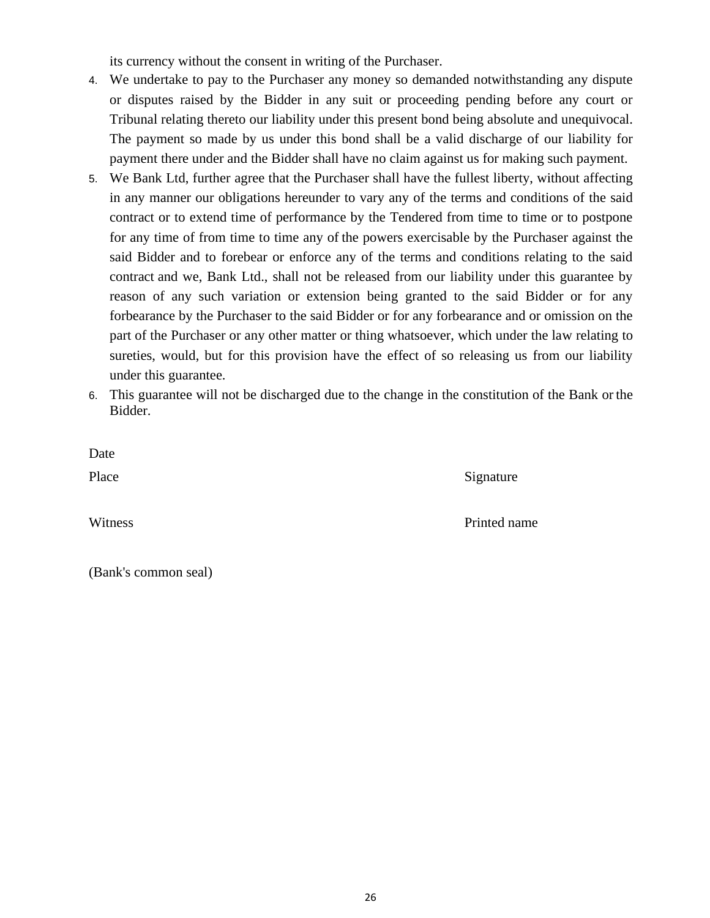its currency without the consent in writing of the Purchaser.

- 4. We undertake to pay to the Purchaser any money so demanded notwithstanding any dispute or disputes raised by the Bidder in any suit or proceeding pending before any court or Tribunal relating thereto our liability under this present bond being absolute and unequivocal. The payment so made by us under this bond shall be a valid discharge of our liability for payment there under and the Bidder shall have no claim against us for making such payment.
- 5. We Bank Ltd, further agree that the Purchaser shall have the fullest liberty, without affecting in any manner our obligations hereunder to vary any of the terms and conditions of the said contract or to extend time of performance by the Tendered from time to time or to postpone for any time of from time to time any of the powers exercisable by the Purchaser against the said Bidder and to forebear or enforce any of the terms and conditions relating to the said contract and we, Bank Ltd., shall not be released from our liability under this guarantee by reason of any such variation or extension being granted to the said Bidder or for any forbearance by the Purchaser to the said Bidder or for any forbearance and or omission on the part of the Purchaser or any other matter or thing whatsoever, which under the law relating to sureties, would, but for this provision have the effect of so releasing us from our liability under this guarantee.
- 6. This guarantee will not be discharged due to the change in the constitution of the Bank or the Bidder.

Date

Place Signature

Witness Printed name Printed name

(Bank's common seal)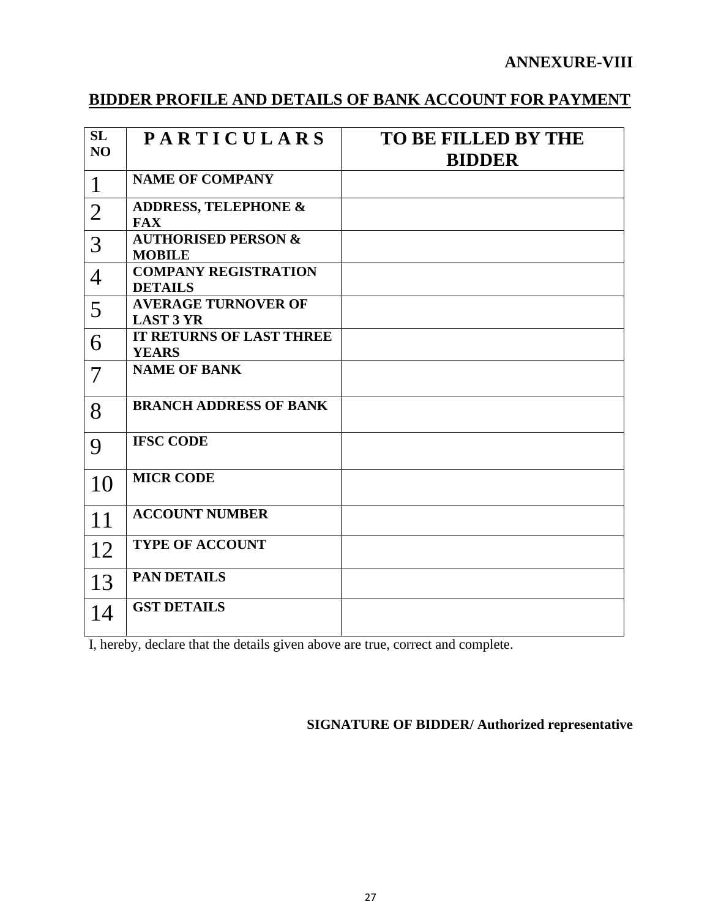### **ANNEXURE-VIII**

## **BIDDER PROFILE AND DETAILS OF BANK ACCOUNT FOR PAYMENT**

| SL                       | <b>PARTICULARS</b>                              | <b>TO BE FILLED BY THE</b> |
|--------------------------|-------------------------------------------------|----------------------------|
| N <sub>O</sub>           |                                                 | <b>BIDDER</b>              |
| $\mathbf{1}$             | <b>NAME OF COMPANY</b>                          |                            |
| $\overline{2}$           | <b>ADDRESS, TELEPHONE &amp;</b><br><b>FAX</b>   |                            |
| 3                        | <b>AUTHORISED PERSON &amp;</b><br><b>MOBILE</b> |                            |
| $\overline{4}$           | <b>COMPANY REGISTRATION</b><br><b>DETAILS</b>   |                            |
| 5                        | <b>AVERAGE TURNOVER OF</b><br><b>LAST 3 YR</b>  |                            |
| 6                        | <b>IT RETURNS OF LAST THREE</b><br><b>YEARS</b> |                            |
| $\overline{\mathcal{L}}$ | <b>NAME OF BANK</b>                             |                            |
| 8                        | <b>BRANCH ADDRESS OF BANK</b>                   |                            |
| 9                        | <b>IFSC CODE</b>                                |                            |
| 10                       | <b>MICR CODE</b>                                |                            |
| 11                       | <b>ACCOUNT NUMBER</b>                           |                            |
| 12                       | <b>TYPE OF ACCOUNT</b>                          |                            |
| 13                       | <b>PAN DETAILS</b>                              |                            |
| 14                       | <b>GST DETAILS</b>                              |                            |

I, hereby, declare that the details given above are true, correct and complete.

### **SIGNATURE OF BIDDER/ Authorized representative**